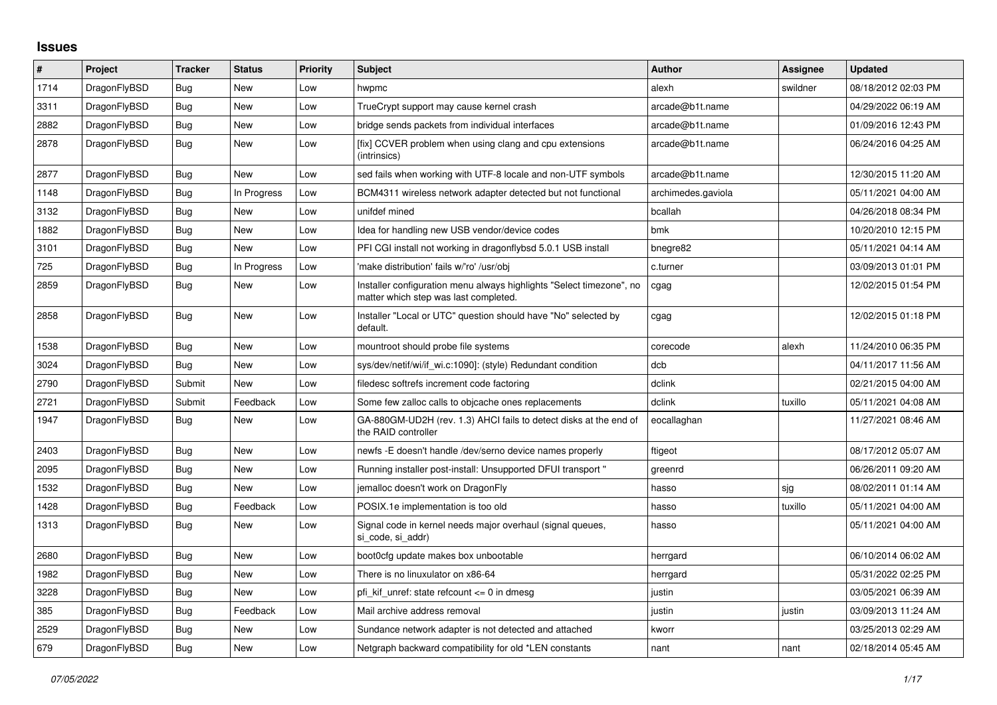## **Issues**

| $\vert$ # | Project      | <b>Tracker</b> | <b>Status</b> | <b>Priority</b> | <b>Subject</b>                                                                                                | <b>Author</b>      | Assignee | <b>Updated</b>      |
|-----------|--------------|----------------|---------------|-----------------|---------------------------------------------------------------------------------------------------------------|--------------------|----------|---------------------|
| 1714      | DragonFlyBSD | <b>Bug</b>     | <b>New</b>    | Low             | hwpmc                                                                                                         | alexh              | swildner | 08/18/2012 02:03 PM |
| 3311      | DragonFlyBSD | Bug            | <b>New</b>    | Low             | TrueCrypt support may cause kernel crash                                                                      | arcade@b1t.name    |          | 04/29/2022 06:19 AM |
| 2882      | DragonFlyBSD | Bug            | New           | Low             | bridge sends packets from individual interfaces                                                               | arcade@b1t.name    |          | 01/09/2016 12:43 PM |
| 2878      | DragonFlyBSD | <b>Bug</b>     | New           | Low             | [fix] CCVER problem when using clang and cpu extensions<br>(intrinsics)                                       | arcade@b1t.name    |          | 06/24/2016 04:25 AM |
| 2877      | DragonFlyBSD | Bug            | <b>New</b>    | Low             | sed fails when working with UTF-8 locale and non-UTF symbols                                                  | arcade@b1t.name    |          | 12/30/2015 11:20 AM |
| 1148      | DragonFlyBSD | Bug            | In Progress   | Low             | BCM4311 wireless network adapter detected but not functional                                                  | archimedes.gaviola |          | 05/11/2021 04:00 AM |
| 3132      | DragonFlyBSD | Bug            | New           | Low             | unifdef mined                                                                                                 | bcallah            |          | 04/26/2018 08:34 PM |
| 1882      | DragonFlyBSD | <b>Bug</b>     | <b>New</b>    | Low             | Idea for handling new USB vendor/device codes                                                                 | bmk                |          | 10/20/2010 12:15 PM |
| 3101      | DragonFlyBSD | Bug            | New           | Low             | PFI CGI install not working in dragonflybsd 5.0.1 USB install                                                 | bnegre82           |          | 05/11/2021 04:14 AM |
| 725       | DragonFlyBSD | <b>Bug</b>     | In Progress   | Low             | 'make distribution' fails w/'ro' /usr/obj                                                                     | c.turner           |          | 03/09/2013 01:01 PM |
| 2859      | DragonFlyBSD | Bug            | New           | Low             | Installer configuration menu always highlights "Select timezone", no<br>matter which step was last completed. | cgag               |          | 12/02/2015 01:54 PM |
| 2858      | DragonFlyBSD | Bug            | New           | Low             | Installer "Local or UTC" question should have "No" selected by<br>default.                                    | cgag               |          | 12/02/2015 01:18 PM |
| 1538      | DragonFlyBSD | <b>Bug</b>     | <b>New</b>    | Low             | mountroot should probe file systems                                                                           | corecode           | alexh    | 11/24/2010 06:35 PM |
| 3024      | DragonFlyBSD | <b>Bug</b>     | New           | Low             | sys/dev/netif/wi/if wi.c:1090]: (style) Redundant condition                                                   | dcb                |          | 04/11/2017 11:56 AM |
| 2790      | DragonFlyBSD | Submit         | <b>New</b>    | Low             | filedesc softrefs increment code factoring                                                                    | dclink             |          | 02/21/2015 04:00 AM |
| 2721      | DragonFlyBSD | Submit         | Feedback      | Low             | Some few zalloc calls to objcache ones replacements                                                           | dclink             | tuxillo  | 05/11/2021 04:08 AM |
| 1947      | DragonFlyBSD | Bug            | <b>New</b>    | Low             | GA-880GM-UD2H (rev. 1.3) AHCI fails to detect disks at the end of<br>the RAID controller                      | eocallaghan        |          | 11/27/2021 08:46 AM |
| 2403      | DragonFlyBSD | Bug            | <b>New</b>    | Low             | newfs - E doesn't handle / dev/serno device names properly                                                    | ftigeot            |          | 08/17/2012 05:07 AM |
| 2095      | DragonFlyBSD | Bug            | New           | Low             | Running installer post-install: Unsupported DFUI transport "                                                  | greenrd            |          | 06/26/2011 09:20 AM |
| 1532      | DragonFlyBSD | Bug            | <b>New</b>    | Low             | jemalloc doesn't work on DragonFly                                                                            | hasso              | sjg      | 08/02/2011 01:14 AM |
| 1428      | DragonFlyBSD | Bug            | Feedback      | Low             | POSIX.1e implementation is too old                                                                            | hasso              | tuxillo  | 05/11/2021 04:00 AM |
| 1313      | DragonFlyBSD | Bug            | <b>New</b>    | Low             | Signal code in kernel needs major overhaul (signal queues,<br>si code, si addr)                               | hasso              |          | 05/11/2021 04:00 AM |
| 2680      | DragonFlyBSD | <b>Bug</b>     | New           | Low             | boot0cfg update makes box unbootable                                                                          | herrgard           |          | 06/10/2014 06:02 AM |
| 1982      | DragonFlyBSD | Bug            | New           | Low             | There is no linuxulator on x86-64                                                                             | herrgard           |          | 05/31/2022 02:25 PM |
| 3228      | DragonFlyBSD | Bug            | <b>New</b>    | Low             | pfi_kif_unref: state refcount <= 0 in dmesg                                                                   | justin             |          | 03/05/2021 06:39 AM |
| 385       | DragonFlyBSD | Bug            | Feedback      | Low             | Mail archive address removal                                                                                  | justin             | justin   | 03/09/2013 11:24 AM |
| 2529      | DragonFlyBSD | Bug            | New           | Low             | Sundance network adapter is not detected and attached                                                         | kworr              |          | 03/25/2013 02:29 AM |
| 679       | DragonFlyBSD | Bug            | <b>New</b>    | Low             | Netgraph backward compatibility for old *LEN constants                                                        | nant               | nant     | 02/18/2014 05:45 AM |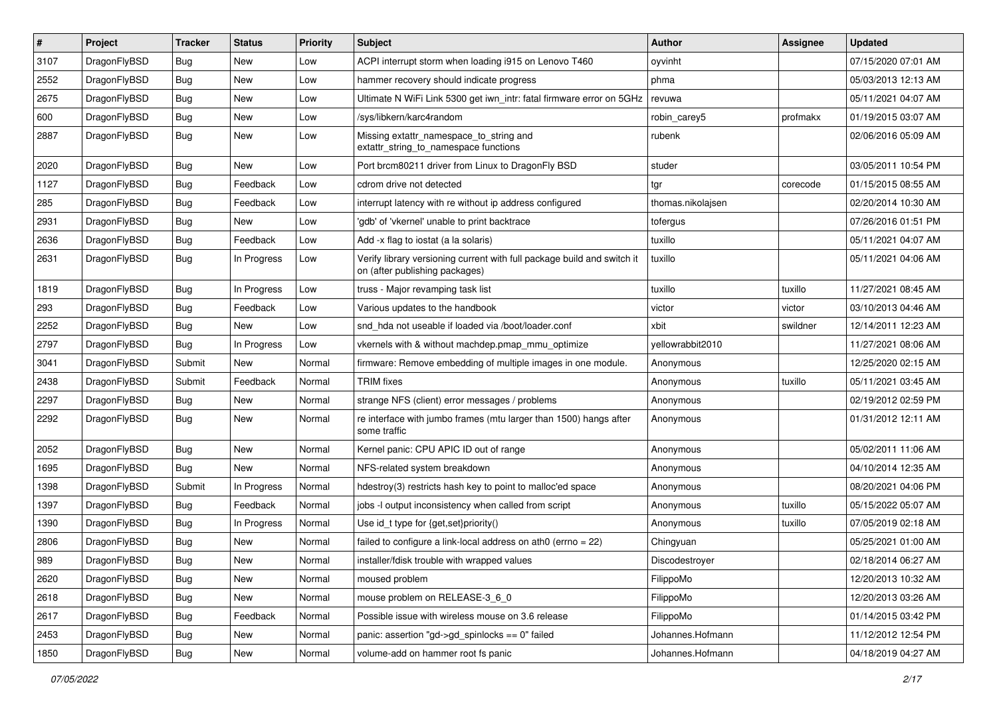| $\sharp$ | Project      | <b>Tracker</b> | <b>Status</b> | <b>Priority</b> | Subject                                                                                                   | <b>Author</b>     | Assignee | <b>Updated</b>      |
|----------|--------------|----------------|---------------|-----------------|-----------------------------------------------------------------------------------------------------------|-------------------|----------|---------------------|
| 3107     | DragonFlyBSD | Bug            | New           | Low             | ACPI interrupt storm when loading i915 on Lenovo T460                                                     | oyvinht           |          | 07/15/2020 07:01 AM |
| 2552     | DragonFlyBSD | Bug            | New           | Low             | hammer recovery should indicate progress                                                                  | phma              |          | 05/03/2013 12:13 AM |
| 2675     | DragonFlyBSD | Bug            | New           | Low             | Ultimate N WiFi Link 5300 get iwn_intr: fatal firmware error on 5GHz                                      | revuwa            |          | 05/11/2021 04:07 AM |
| 600      | DragonFlyBSD | Bug            | <b>New</b>    | Low             | /sys/libkern/karc4random                                                                                  | robin_carey5      | profmakx | 01/19/2015 03:07 AM |
| 2887     | DragonFlyBSD | <b>Bug</b>     | <b>New</b>    | Low             | Missing extattr_namespace_to_string and<br>extattr_string_to_namespace functions                          | rubenk            |          | 02/06/2016 05:09 AM |
| 2020     | DragonFlyBSD | <b>Bug</b>     | New           | Low             | Port brcm80211 driver from Linux to DragonFly BSD                                                         | studer            |          | 03/05/2011 10:54 PM |
| 1127     | DragonFlyBSD | Bug            | Feedback      | Low             | cdrom drive not detected                                                                                  | tgr               | corecode | 01/15/2015 08:55 AM |
| 285      | DragonFlyBSD | <b>Bug</b>     | Feedback      | Low             | interrupt latency with re without ip address configured                                                   | thomas.nikolajsen |          | 02/20/2014 10:30 AM |
| 2931     | DragonFlyBSD | <b>Bug</b>     | New           | Low             | 'gdb' of 'vkernel' unable to print backtrace                                                              | tofergus          |          | 07/26/2016 01:51 PM |
| 2636     | DragonFlyBSD | <b>Bug</b>     | Feedback      | Low             | Add -x flag to iostat (a la solaris)                                                                      | tuxillo           |          | 05/11/2021 04:07 AM |
| 2631     | DragonFlyBSD | <b>Bug</b>     | In Progress   | Low             | Verify library versioning current with full package build and switch it<br>on (after publishing packages) | tuxillo           |          | 05/11/2021 04:06 AM |
| 1819     | DragonFlyBSD | <b>Bug</b>     | In Progress   | Low             | truss - Major revamping task list                                                                         | tuxillo           | tuxillo  | 11/27/2021 08:45 AM |
| 293      | DragonFlyBSD | <b>Bug</b>     | Feedback      | Low             | Various updates to the handbook                                                                           | victor            | victor   | 03/10/2013 04:46 AM |
| 2252     | DragonFlyBSD | <b>Bug</b>     | New           | Low             | snd hda not useable if loaded via /boot/loader.conf                                                       | xbit              | swildner | 12/14/2011 12:23 AM |
| 2797     | DragonFlyBSD | <b>Bug</b>     | In Progress   | Low             | vkernels with & without machdep.pmap_mmu_optimize                                                         | yellowrabbit2010  |          | 11/27/2021 08:06 AM |
| 3041     | DragonFlyBSD | Submit         | New           | Normal          | firmware: Remove embedding of multiple images in one module.                                              | Anonymous         |          | 12/25/2020 02:15 AM |
| 2438     | DragonFlyBSD | Submit         | Feedback      | Normal          | <b>TRIM</b> fixes                                                                                         | Anonymous         | tuxillo  | 05/11/2021 03:45 AM |
| 2297     | DragonFlyBSD | <b>Bug</b>     | New           | Normal          | strange NFS (client) error messages / problems                                                            | Anonymous         |          | 02/19/2012 02:59 PM |
| 2292     | DragonFlyBSD | <b>Bug</b>     | New           | Normal          | re interface with jumbo frames (mtu larger than 1500) hangs after<br>some traffic                         | Anonymous         |          | 01/31/2012 12:11 AM |
| 2052     | DragonFlyBSD | <b>Bug</b>     | <b>New</b>    | Normal          | Kernel panic: CPU APIC ID out of range                                                                    | Anonymous         |          | 05/02/2011 11:06 AM |
| 1695     | DragonFlyBSD | Bug            | New           | Normal          | NFS-related system breakdown                                                                              | Anonymous         |          | 04/10/2014 12:35 AM |
| 1398     | DragonFlyBSD | Submit         | In Progress   | Normal          | hdestroy(3) restricts hash key to point to malloc'ed space                                                | Anonymous         |          | 08/20/2021 04:06 PM |
| 1397     | DragonFlyBSD | <b>Bug</b>     | Feedback      | Normal          | jobs -I output inconsistency when called from script                                                      | Anonymous         | tuxillo  | 05/15/2022 05:07 AM |
| 1390     | DragonFlyBSD | <b>Bug</b>     | In Progress   | Normal          | Use id_t type for {get,set}priority()                                                                     | Anonymous         | tuxillo  | 07/05/2019 02:18 AM |
| 2806     | DragonFlyBSD | <b>Bug</b>     | New           | Normal          | failed to configure a link-local address on ath0 (errno = 22)                                             | Chingyuan         |          | 05/25/2021 01:00 AM |
| 989      | DragonFlyBSD | Bug            | <b>New</b>    | Normal          | installer/fdisk trouble with wrapped values                                                               | Discodestroyer    |          | 02/18/2014 06:27 AM |
| 2620     | DragonFlyBSD | <b>Bug</b>     | <b>New</b>    | Normal          | moused problem                                                                                            | FilippoMo         |          | 12/20/2013 10:32 AM |
| 2618     | DragonFlyBSD | Bug            | New           | Normal          | mouse problem on RELEASE-3 6 0                                                                            | FilippoMo         |          | 12/20/2013 03:26 AM |
| 2617     | DragonFlyBSD | Bug            | Feedback      | Normal          | Possible issue with wireless mouse on 3.6 release                                                         | FilippoMo         |          | 01/14/2015 03:42 PM |
| 2453     | DragonFlyBSD | <b>Bug</b>     | New           | Normal          | panic: assertion "gd->gd_spinlocks == 0" failed                                                           | Johannes.Hofmann  |          | 11/12/2012 12:54 PM |
| 1850     | DragonFlyBSD | <b>Bug</b>     | New           | Normal          | volume-add on hammer root fs panic                                                                        | Johannes.Hofmann  |          | 04/18/2019 04:27 AM |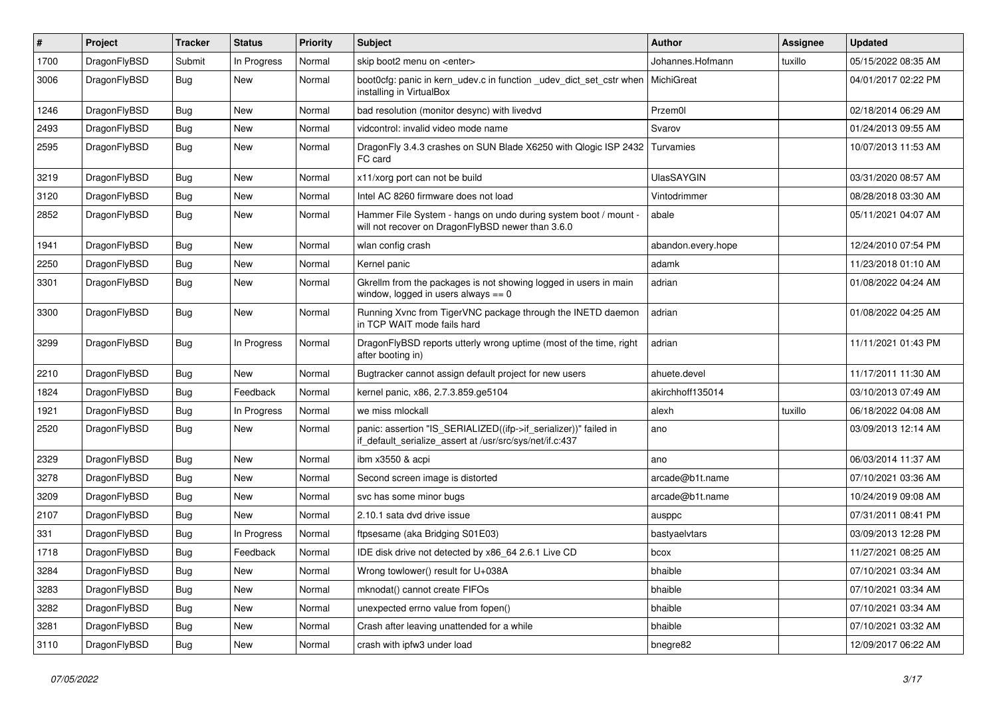| $\sharp$ | Project      | <b>Tracker</b> | <b>Status</b> | <b>Priority</b> | Subject                                                                                                                      | <b>Author</b>      | Assignee | <b>Updated</b>      |
|----------|--------------|----------------|---------------|-----------------|------------------------------------------------------------------------------------------------------------------------------|--------------------|----------|---------------------|
| 1700     | DragonFlyBSD | Submit         | In Progress   | Normal          | skip boot2 menu on <enter></enter>                                                                                           | Johannes.Hofmann   | tuxillo  | 05/15/2022 08:35 AM |
| 3006     | DragonFlyBSD | Bug            | New           | Normal          | boot0cfg: panic in kern_udev.c in function _udev_dict_set_cstr when<br>installing in VirtualBox                              | MichiGreat         |          | 04/01/2017 02:22 PM |
| 1246     | DragonFlyBSD | Bug            | <b>New</b>    | Normal          | bad resolution (monitor desync) with livedvd                                                                                 | Przem0l            |          | 02/18/2014 06:29 AM |
| 2493     | DragonFlyBSD | Bug            | <b>New</b>    | Normal          | vidcontrol: invalid video mode name                                                                                          | Svarov             |          | 01/24/2013 09:55 AM |
| 2595     | DragonFlyBSD | Bug            | New           | Normal          | DragonFly 3.4.3 crashes on SUN Blade X6250 with Qlogic ISP 2432<br>FC card                                                   | Turvamies          |          | 10/07/2013 11:53 AM |
| 3219     | DragonFlyBSD | Bug            | <b>New</b>    | Normal          | x11/xorg port can not be build                                                                                               | <b>UlasSAYGIN</b>  |          | 03/31/2020 08:57 AM |
| 3120     | DragonFlyBSD | Bug            | <b>New</b>    | Normal          | Intel AC 8260 firmware does not load                                                                                         | Vintodrimmer       |          | 08/28/2018 03:30 AM |
| 2852     | DragonFlyBSD | Bug            | New           | Normal          | Hammer File System - hangs on undo during system boot / mount -<br>will not recover on DragonFlyBSD newer than 3.6.0         | abale              |          | 05/11/2021 04:07 AM |
| 1941     | DragonFlyBSD | Bug            | New           | Normal          | wlan config crash                                                                                                            | abandon.every.hope |          | 12/24/2010 07:54 PM |
| 2250     | DragonFlyBSD | Bug            | <b>New</b>    | Normal          | Kernel panic                                                                                                                 | adamk              |          | 11/23/2018 01:10 AM |
| 3301     | DragonFlyBSD | Bug            | New           | Normal          | Gkrellm from the packages is not showing logged in users in main<br>window, logged in users always $== 0$                    | adrian             |          | 01/08/2022 04:24 AM |
| 3300     | DragonFlyBSD | <b>Bug</b>     | New           | Normal          | Running Xvnc from TigerVNC package through the INETD daemon<br>in TCP WAIT mode fails hard                                   | adrian             |          | 01/08/2022 04:25 AM |
| 3299     | DragonFlyBSD | Bug            | In Progress   | Normal          | DragonFlyBSD reports utterly wrong uptime (most of the time, right<br>after booting in)                                      | adrian             |          | 11/11/2021 01:43 PM |
| 2210     | DragonFlyBSD | Bug            | <b>New</b>    | Normal          | Bugtracker cannot assign default project for new users                                                                       | ahuete.devel       |          | 11/17/2011 11:30 AM |
| 1824     | DragonFlyBSD | Bug            | Feedback      | Normal          | kernel panic, x86, 2.7.3.859.ge5104                                                                                          | akirchhoff135014   |          | 03/10/2013 07:49 AM |
| 1921     | DragonFlyBSD | Bug            | In Progress   | Normal          | we miss mlockall                                                                                                             | alexh              | tuxillo  | 06/18/2022 04:08 AM |
| 2520     | DragonFlyBSD | Bug            | <b>New</b>    | Normal          | panic: assertion "IS_SERIALIZED((ifp->if_serializer))" failed in<br>if_default_serialize_assert at /usr/src/sys/net/if.c:437 | ano                |          | 03/09/2013 12:14 AM |
| 2329     | DragonFlyBSD | Bug            | New           | Normal          | ibm x3550 & acpi                                                                                                             | ano                |          | 06/03/2014 11:37 AM |
| 3278     | DragonFlyBSD | Bug            | New           | Normal          | Second screen image is distorted                                                                                             | arcade@b1t.name    |          | 07/10/2021 03:36 AM |
| 3209     | DragonFlyBSD | Bug            | New           | Normal          | svc has some minor bugs                                                                                                      | arcade@b1t.name    |          | 10/24/2019 09:08 AM |
| 2107     | DragonFlyBSD | Bug            | <b>New</b>    | Normal          | 2.10.1 sata dvd drive issue                                                                                                  | ausppc             |          | 07/31/2011 08:41 PM |
| 331      | DragonFlyBSD | Bug            | In Progress   | Normal          | ftpsesame (aka Bridging S01E03)                                                                                              | bastyaelvtars      |          | 03/09/2013 12:28 PM |
| 1718     | DragonFlyBSD | Bug            | Feedback      | Normal          | IDE disk drive not detected by x86_64 2.6.1 Live CD                                                                          | bcox               |          | 11/27/2021 08:25 AM |
| 3284     | DragonFlyBSD | <b>Bug</b>     | New           | Normal          | Wrong towlower() result for U+038A                                                                                           | bhaible            |          | 07/10/2021 03:34 AM |
| 3283     | DragonFlyBSD | <b>Bug</b>     | New           | Normal          | mknodat() cannot create FIFOs                                                                                                | bhaible            |          | 07/10/2021 03:34 AM |
| 3282     | DragonFlyBSD | Bug            | New           | Normal          | unexpected errno value from fopen()                                                                                          | bhaible            |          | 07/10/2021 03:34 AM |
| 3281     | DragonFlyBSD | <b>Bug</b>     | <b>New</b>    | Normal          | Crash after leaving unattended for a while                                                                                   | bhaible            |          | 07/10/2021 03:32 AM |
| 3110     | DragonFlyBSD | <b>Bug</b>     | New           | Normal          | crash with ipfw3 under load                                                                                                  | bnegre82           |          | 12/09/2017 06:22 AM |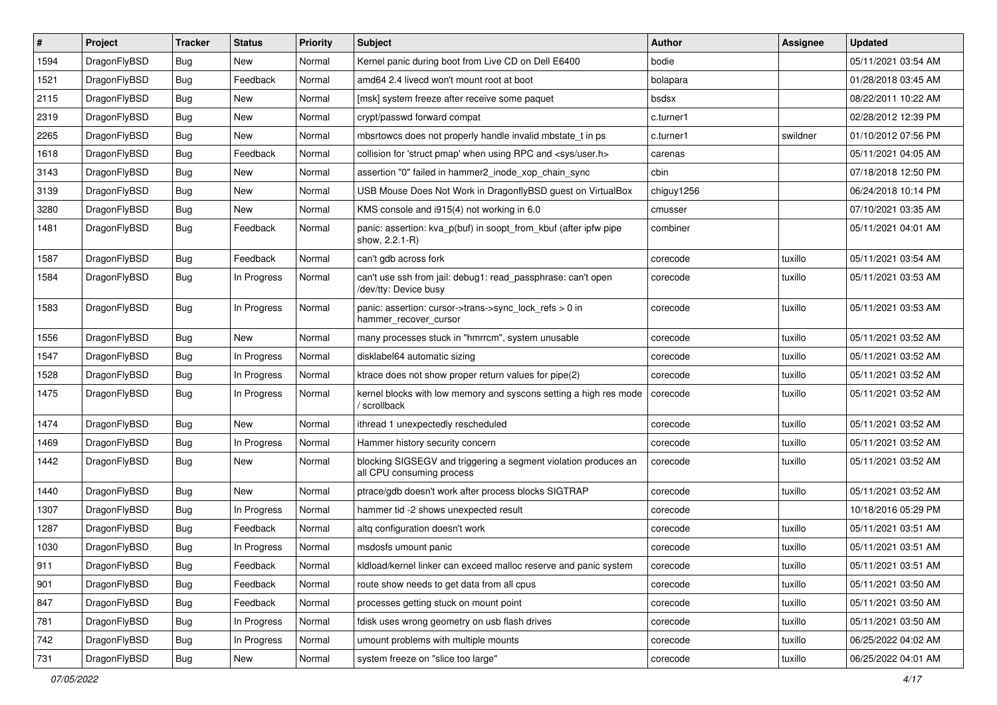| $\pmb{\#}$ | Project      | <b>Tracker</b> | <b>Status</b> | <b>Priority</b> | <b>Subject</b>                                                                               | <b>Author</b> | <b>Assignee</b> | <b>Updated</b>      |
|------------|--------------|----------------|---------------|-----------------|----------------------------------------------------------------------------------------------|---------------|-----------------|---------------------|
| 1594       | DragonFlyBSD | Bug            | New           | Normal          | Kernel panic during boot from Live CD on Dell E6400                                          | bodie         |                 | 05/11/2021 03:54 AM |
| 1521       | DragonFlyBSD | Bug            | Feedback      | Normal          | amd64 2.4 livecd won't mount root at boot                                                    | bolapara      |                 | 01/28/2018 03:45 AM |
| 2115       | DragonFlyBSD | Bug            | New           | Normal          | [msk] system freeze after receive some paquet                                                | bsdsx         |                 | 08/22/2011 10:22 AM |
| 2319       | DragonFlyBSD | Bug            | New           | Normal          | crypt/passwd forward compat                                                                  | c.turner1     |                 | 02/28/2012 12:39 PM |
| 2265       | DragonFlyBSD | Bug            | <b>New</b>    | Normal          | mbsrtowcs does not properly handle invalid mbstate t in ps                                   | c.turner1     | swildner        | 01/10/2012 07:56 PM |
| 1618       | DragonFlyBSD | Bug            | Feedback      | Normal          | collision for 'struct pmap' when using RPC and <sys user.h=""></sys>                         | carenas       |                 | 05/11/2021 04:05 AM |
| 3143       | DragonFlyBSD | Bug            | New           | Normal          | assertion "0" failed in hammer2_inode_xop_chain_sync                                         | cbin          |                 | 07/18/2018 12:50 PM |
| 3139       | DragonFlyBSD | Bug            | <b>New</b>    | Normal          | USB Mouse Does Not Work in DragonflyBSD guest on VirtualBox                                  | chiguy1256    |                 | 06/24/2018 10:14 PM |
| 3280       | DragonFlyBSD | Bug            | <b>New</b>    | Normal          | KMS console and i915(4) not working in 6.0                                                   | cmusser       |                 | 07/10/2021 03:35 AM |
| 1481       | DragonFlyBSD | Bug            | Feedback      | Normal          | panic: assertion: kva p(buf) in soopt from kbuf (after ipfw pipe<br>show, 2.2.1-R)           | combiner      |                 | 05/11/2021 04:01 AM |
| 1587       | DragonFlyBSD | Bug            | Feedback      | Normal          | can't gdb across fork                                                                        | corecode      | tuxillo         | 05/11/2021 03:54 AM |
| 1584       | DragonFlyBSD | Bug            | In Progress   | Normal          | can't use ssh from jail: debug1: read passphrase: can't open<br>/dev/tty: Device busy        | corecode      | tuxillo         | 05/11/2021 03:53 AM |
| 1583       | DragonFlyBSD | Bug            | In Progress   | Normal          | panic: assertion: cursor->trans->sync_lock_refs > 0 in<br>hammer recover cursor              | corecode      | tuxillo         | 05/11/2021 03:53 AM |
| 1556       | DragonFlyBSD | Bug            | New           | Normal          | many processes stuck in "hmrrcm", system unusable                                            | corecode      | tuxillo         | 05/11/2021 03:52 AM |
| 1547       | DragonFlyBSD | Bug            | In Progress   | Normal          | disklabel64 automatic sizing                                                                 | corecode      | tuxillo         | 05/11/2021 03:52 AM |
| 1528       | DragonFlyBSD | Bug            | In Progress   | Normal          | ktrace does not show proper return values for pipe(2)                                        | corecode      | tuxillo         | 05/11/2021 03:52 AM |
| 1475       | DragonFlyBSD | Bug            | In Progress   | Normal          | kernel blocks with low memory and syscons setting a high res mode<br>scrollback              | corecode      | tuxillo         | 05/11/2021 03:52 AM |
| 1474       | DragonFlyBSD | Bug            | New           | Normal          | ithread 1 unexpectedly rescheduled                                                           | corecode      | tuxillo         | 05/11/2021 03:52 AM |
| 1469       | DragonFlyBSD | Bug            | In Progress   | Normal          | Hammer history security concern                                                              | corecode      | tuxillo         | 05/11/2021 03:52 AM |
| 1442       | DragonFlyBSD | Bug            | New           | Normal          | blocking SIGSEGV and triggering a segment violation produces an<br>all CPU consuming process | corecode      | tuxillo         | 05/11/2021 03:52 AM |
| 1440       | DragonFlyBSD | Bug            | <b>New</b>    | Normal          | ptrace/gdb doesn't work after process blocks SIGTRAP                                         | corecode      | tuxillo         | 05/11/2021 03:52 AM |
| 1307       | DragonFlyBSD | Bug            | In Progress   | Normal          | hammer tid -2 shows unexpected result                                                        | corecode      |                 | 10/18/2016 05:29 PM |
| 1287       | DragonFlyBSD | Bug            | Feedback      | Normal          | altg configuration doesn't work                                                              | corecode      | tuxillo         | 05/11/2021 03:51 AM |
| 1030       | DragonFlyBSD | Bug            | In Progress   | Normal          | msdosfs umount panic                                                                         | corecode      | tuxillo         | 05/11/2021 03:51 AM |
| 911        | DragonFlyBSD | Bug            | Feedback      | Normal          | kldload/kernel linker can exceed malloc reserve and panic system                             | corecode      | tuxillo         | 05/11/2021 03:51 AM |
| 901        | DragonFlyBSD | Bug            | Feedback      | Normal          | route show needs to get data from all cpus                                                   | corecode      | tuxillo         | 05/11/2021 03:50 AM |
| 847        | DragonFlyBSD | <b>Bug</b>     | Feedback      | Normal          | processes getting stuck on mount point                                                       | corecode      | tuxillo         | 05/11/2021 03:50 AM |
| 781        | DragonFlyBSD | <b>Bug</b>     | In Progress   | Normal          | fdisk uses wrong geometry on usb flash drives                                                | corecode      | tuxillo         | 05/11/2021 03:50 AM |
| 742        | DragonFlyBSD | Bug            | In Progress   | Normal          | umount problems with multiple mounts                                                         | corecode      | tuxillo         | 06/25/2022 04:02 AM |
| 731        | DragonFlyBSD | Bug            | New           | Normal          | system freeze on "slice too large"                                                           | corecode      | tuxillo         | 06/25/2022 04:01 AM |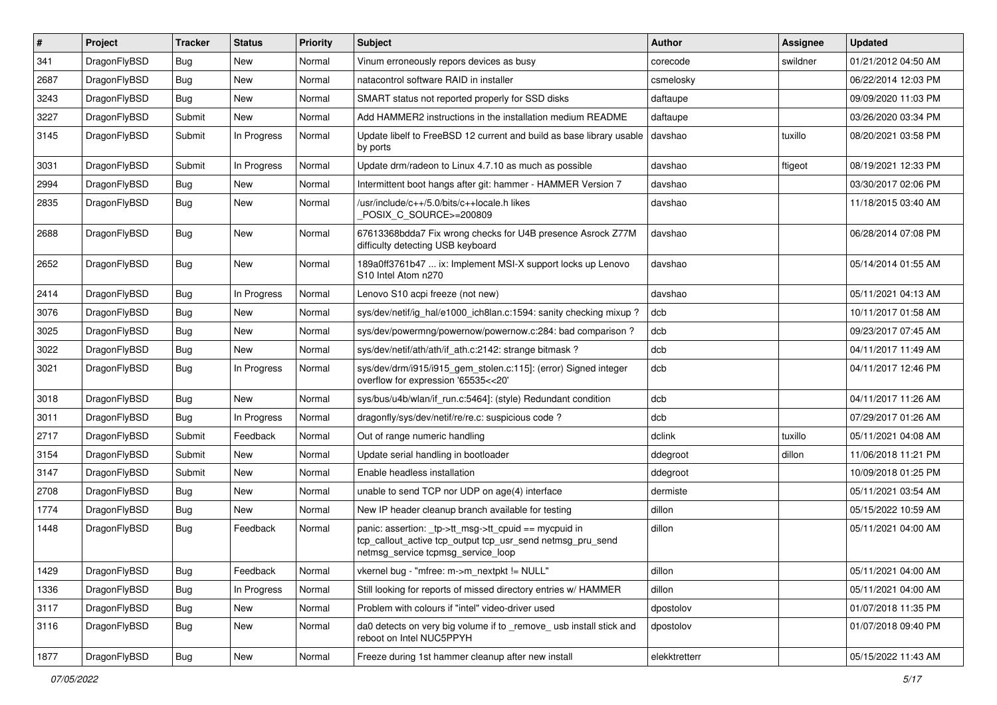| ∦    | Project      | <b>Tracker</b> | <b>Status</b> | <b>Priority</b> | <b>Subject</b>                                                                                                                                            | <b>Author</b> | Assignee | <b>Updated</b>      |
|------|--------------|----------------|---------------|-----------------|-----------------------------------------------------------------------------------------------------------------------------------------------------------|---------------|----------|---------------------|
| 341  | DragonFlyBSD | Bug            | <b>New</b>    | Normal          | Vinum erroneously repors devices as busy                                                                                                                  | corecode      | swildner | 01/21/2012 04:50 AM |
| 2687 | DragonFlyBSD | Bug            | <b>New</b>    | Normal          | natacontrol software RAID in installer                                                                                                                    | csmelosky     |          | 06/22/2014 12:03 PM |
| 3243 | DragonFlyBSD | <b>Bug</b>     | <b>New</b>    | Normal          | SMART status not reported properly for SSD disks                                                                                                          | daftaupe      |          | 09/09/2020 11:03 PM |
| 3227 | DragonFlyBSD | Submit         | <b>New</b>    | Normal          | Add HAMMER2 instructions in the installation medium README                                                                                                | daftaupe      |          | 03/26/2020 03:34 PM |
| 3145 | DragonFlyBSD | Submit         | In Progress   | Normal          | Update libelf to FreeBSD 12 current and build as base library usable<br>by ports                                                                          | davshao       | tuxillo  | 08/20/2021 03:58 PM |
| 3031 | DragonFlyBSD | Submit         | In Progress   | Normal          | Update drm/radeon to Linux 4.7.10 as much as possible                                                                                                     | davshao       | ftigeot  | 08/19/2021 12:33 PM |
| 2994 | DragonFlyBSD | <b>Bug</b>     | New           | Normal          | Intermittent boot hangs after git: hammer - HAMMER Version 7                                                                                              | davshao       |          | 03/30/2017 02:06 PM |
| 2835 | DragonFlyBSD | Bug            | <b>New</b>    | Normal          | /usr/include/c++/5.0/bits/c++locale.h likes<br>POSIX_C_SOURCE>=200809                                                                                     | davshao       |          | 11/18/2015 03:40 AM |
| 2688 | DragonFlyBSD | Bug            | <b>New</b>    | Normal          | 67613368bdda7 Fix wrong checks for U4B presence Asrock Z77M<br>difficulty detecting USB keyboard                                                          | davshao       |          | 06/28/2014 07:08 PM |
| 2652 | DragonFlyBSD | Bug            | <b>New</b>    | Normal          | 189a0ff3761b47  ix: Implement MSI-X support locks up Lenovo<br>S10 Intel Atom n270                                                                        | davshao       |          | 05/14/2014 01:55 AM |
| 2414 | DragonFlyBSD | Bug            | In Progress   | Normal          | Lenovo S10 acpi freeze (not new)                                                                                                                          | davshao       |          | 05/11/2021 04:13 AM |
| 3076 | DragonFlyBSD | <b>Bug</b>     | <b>New</b>    | Normal          | sys/dev/netif/ig hal/e1000 ich8lan.c:1594: sanity checking mixup?                                                                                         | dcb           |          | 10/11/2017 01:58 AM |
| 3025 | DragonFlyBSD | <b>Bug</b>     | <b>New</b>    | Normal          | sys/dev/powermng/powernow/powernow.c:284: bad comparison?                                                                                                 | dcb           |          | 09/23/2017 07:45 AM |
| 3022 | DragonFlyBSD | <b>Bug</b>     | <b>New</b>    | Normal          | sys/dev/netif/ath/ath/if_ath.c:2142: strange bitmask?                                                                                                     | dcb           |          | 04/11/2017 11:49 AM |
| 3021 | DragonFlyBSD | Bug            | In Progress   | Normal          | sys/dev/drm/i915/i915_gem_stolen.c:115]: (error) Signed integer<br>overflow for expression '65535<<20'                                                    | dcb           |          | 04/11/2017 12:46 PM |
| 3018 | DragonFlyBSD | <b>Bug</b>     | <b>New</b>    | Normal          | sys/bus/u4b/wlan/if_run.c:5464]: (style) Redundant condition                                                                                              | dcb           |          | 04/11/2017 11:26 AM |
| 3011 | DragonFlyBSD | Bug            | In Progress   | Normal          | dragonfly/sys/dev/netif/re/re.c: suspicious code?                                                                                                         | dcb           |          | 07/29/2017 01:26 AM |
| 2717 | DragonFlyBSD | Submit         | Feedback      | Normal          | Out of range numeric handling                                                                                                                             | dclink        | tuxillo  | 05/11/2021 04:08 AM |
| 3154 | DragonFlyBSD | Submit         | <b>New</b>    | Normal          | Update serial handling in bootloader                                                                                                                      | ddegroot      | dillon   | 11/06/2018 11:21 PM |
| 3147 | DragonFlyBSD | Submit         | <b>New</b>    | Normal          | Enable headless installation                                                                                                                              | ddegroot      |          | 10/09/2018 01:25 PM |
| 2708 | DragonFlyBSD | Bug            | <b>New</b>    | Normal          | unable to send TCP nor UDP on age(4) interface                                                                                                            | dermiste      |          | 05/11/2021 03:54 AM |
| 1774 | DragonFlyBSD | Bug            | <b>New</b>    | Normal          | New IP header cleanup branch available for testing                                                                                                        | dillon        |          | 05/15/2022 10:59 AM |
| 1448 | DragonFlyBSD | Bug            | Feedback      | Normal          | panic: assertion: _tp->tt_msg->tt_cpuid == mycpuid in<br>tcp_callout_active tcp_output tcp_usr_send netmsg_pru_send<br>netmsg service tcpmsg service loop | dillon        |          | 05/11/2021 04:00 AM |
| 1429 | DragonFlyBSD | Bug            | Feedback      | Normal          | vkernel bug - "mfree: m->m_nextpkt != NULL"                                                                                                               | dillon        |          | 05/11/2021 04:00 AM |
| 1336 | DragonFlyBSD | <b>Bug</b>     | In Progress   | Normal          | Still looking for reports of missed directory entries w/ HAMMER                                                                                           | dillon        |          | 05/11/2021 04:00 AM |
| 3117 | DragonFlyBSD | <b>Bug</b>     | New           | Normal          | Problem with colours if "intel" video-driver used                                                                                                         | dpostolov     |          | 01/07/2018 11:35 PM |
| 3116 | DragonFlyBSD | Bug            | New           | Normal          | da0 detects on very big volume if to _remove_ usb install stick and<br>reboot on Intel NUC5PPYH                                                           | dpostolov     |          | 01/07/2018 09:40 PM |
| 1877 | DragonFlyBSD | <b>Bug</b>     | New           | Normal          | Freeze during 1st hammer cleanup after new install                                                                                                        | elekktretterr |          | 05/15/2022 11:43 AM |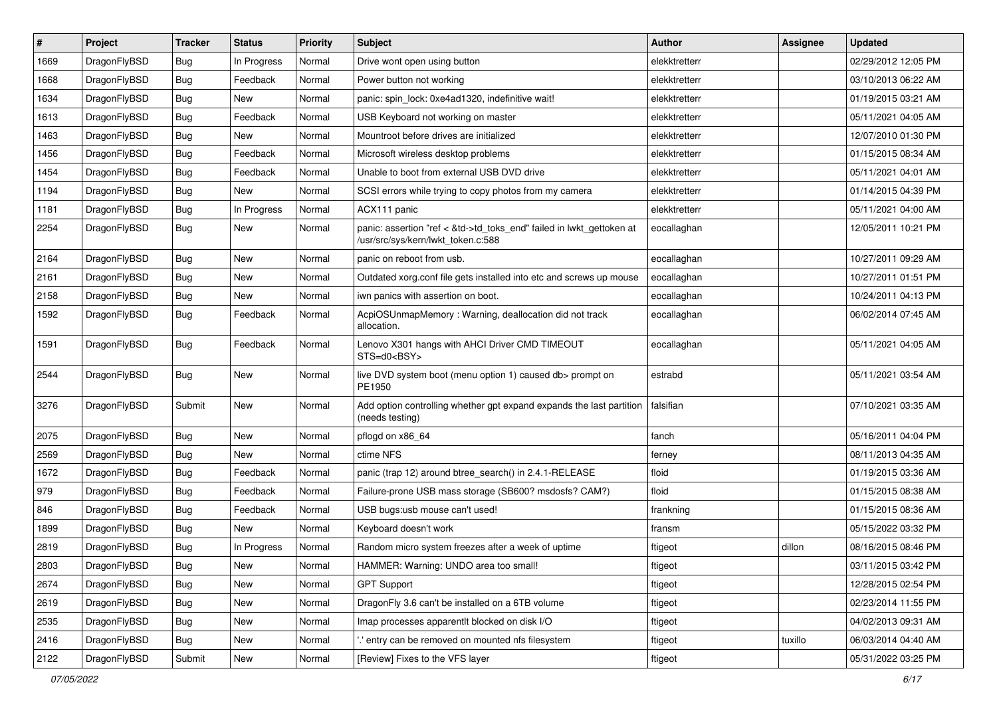| $\vert$ # | Project      | <b>Tracker</b> | <b>Status</b> | <b>Priority</b> | Subject                                                                                                    | <b>Author</b> | Assignee | <b>Updated</b>      |
|-----------|--------------|----------------|---------------|-----------------|------------------------------------------------------------------------------------------------------------|---------------|----------|---------------------|
| 1669      | DragonFlyBSD | Bug            | In Progress   | Normal          | Drive wont open using button                                                                               | elekktretterr |          | 02/29/2012 12:05 PM |
| 1668      | DragonFlyBSD | Bug            | Feedback      | Normal          | Power button not working                                                                                   | elekktretterr |          | 03/10/2013 06:22 AM |
| 1634      | DragonFlyBSD | Bug            | New           | Normal          | panic: spin lock: 0xe4ad1320, indefinitive wait!                                                           | elekktretterr |          | 01/19/2015 03:21 AM |
| 1613      | DragonFlyBSD | <b>Bug</b>     | Feedback      | Normal          | USB Keyboard not working on master                                                                         | elekktretterr |          | 05/11/2021 04:05 AM |
| 1463      | DragonFlyBSD | Bug            | New           | Normal          | Mountroot before drives are initialized                                                                    | elekktretterr |          | 12/07/2010 01:30 PM |
| 1456      | DragonFlyBSD | <b>Bug</b>     | Feedback      | Normal          | Microsoft wireless desktop problems                                                                        | elekktretterr |          | 01/15/2015 08:34 AM |
| 1454      | DragonFlyBSD | Bug            | Feedback      | Normal          | Unable to boot from external USB DVD drive                                                                 | elekktretterr |          | 05/11/2021 04:01 AM |
| 1194      | DragonFlyBSD | <b>Bug</b>     | New           | Normal          | SCSI errors while trying to copy photos from my camera                                                     | elekktretterr |          | 01/14/2015 04:39 PM |
| 1181      | DragonFlyBSD | <b>Bug</b>     | In Progress   | Normal          | ACX111 panic                                                                                               | elekktretterr |          | 05/11/2021 04:00 AM |
| 2254      | DragonFlyBSD | <b>Bug</b>     | New           | Normal          | panic: assertion "ref < &td->td_toks_end" failed in lwkt_gettoken at<br>/usr/src/sys/kern/lwkt_token.c:588 | eocallaghan   |          | 12/05/2011 10:21 PM |
| 2164      | DragonFlyBSD | Bug            | New           | Normal          | panic on reboot from usb.                                                                                  | eocallaghan   |          | 10/27/2011 09:29 AM |
| 2161      | DragonFlyBSD | Bug            | New           | Normal          | Outdated xorg.conf file gets installed into etc and screws up mouse                                        | eocallaghan   |          | 10/27/2011 01:51 PM |
| 2158      | DragonFlyBSD | <b>Bug</b>     | New           | Normal          | iwn panics with assertion on boot.                                                                         | eocallaghan   |          | 10/24/2011 04:13 PM |
| 1592      | DragonFlyBSD | Bug            | Feedback      | Normal          | AcpiOSUnmapMemory: Warning, deallocation did not track<br>allocation.                                      | eocallaghan   |          | 06/02/2014 07:45 AM |
| 1591      | DragonFlyBSD | Bug            | Feedback      | Normal          | Lenovo X301 hangs with AHCI Driver CMD TIMEOUT<br>STS=d0 <bsy></bsy>                                       | eocallaghan   |          | 05/11/2021 04:05 AM |
| 2544      | DragonFlyBSD | Bug            | New           | Normal          | live DVD system boot (menu option 1) caused db> prompt on<br>PE1950                                        | estrabd       |          | 05/11/2021 03:54 AM |
| 3276      | DragonFlyBSD | Submit         | New           | Normal          | Add option controlling whether gpt expand expands the last partition<br>(needs testing)                    | falsifian     |          | 07/10/2021 03:35 AM |
| 2075      | DragonFlyBSD | Bug            | <b>New</b>    | Normal          | pflogd on x86_64                                                                                           | fanch         |          | 05/16/2011 04:04 PM |
| 2569      | DragonFlyBSD | Bug            | New           | Normal          | ctime NFS                                                                                                  | ferney        |          | 08/11/2013 04:35 AM |
| 1672      | DragonFlyBSD | Bug            | Feedback      | Normal          | panic (trap 12) around btree_search() in 2.4.1-RELEASE                                                     | floid         |          | 01/19/2015 03:36 AM |
| 979       | DragonFlyBSD | <b>Bug</b>     | Feedback      | Normal          | Failure-prone USB mass storage (SB600? msdosfs? CAM?)                                                      | floid         |          | 01/15/2015 08:38 AM |
| 846       | DragonFlyBSD | <b>Bug</b>     | Feedback      | Normal          | USB bugs:usb mouse can't used!                                                                             | frankning     |          | 01/15/2015 08:36 AM |
| 1899      | DragonFlyBSD | <b>Bug</b>     | New           | Normal          | Keyboard doesn't work                                                                                      | fransm        |          | 05/15/2022 03:32 PM |
| 2819      | DragonFlyBSD | Bug            | In Progress   | Normal          | Random micro system freezes after a week of uptime                                                         | ftigeot       | dillon   | 08/16/2015 08:46 PM |
| 2803      | DragonFlyBSD | <b>Bug</b>     | <b>New</b>    | Normal          | HAMMER: Warning: UNDO area too small!                                                                      | ftigeot       |          | 03/11/2015 03:42 PM |
| 2674      | DragonFlyBSD | <b>Bug</b>     | <b>New</b>    | Normal          | <b>GPT Support</b>                                                                                         | ftigeot       |          | 12/28/2015 02:54 PM |
| 2619      | DragonFlyBSD | Bug            | New           | Normal          | DragonFly 3.6 can't be installed on a 6TB volume                                                           | ftigeot       |          | 02/23/2014 11:55 PM |
| 2535      | DragonFlyBSD | <b>Bug</b>     | New           | Normal          | Imap processes apparentlt blocked on disk I/O                                                              | ftigeot       |          | 04/02/2013 09:31 AM |
| 2416      | DragonFlyBSD | <b>Bug</b>     | <b>New</b>    | Normal          | ".' entry can be removed on mounted nfs filesystem                                                         | ftigeot       | tuxillo  | 06/03/2014 04:40 AM |
| 2122      | DragonFlyBSD | Submit         | New           | Normal          | [Review] Fixes to the VFS layer                                                                            | ftigeot       |          | 05/31/2022 03:25 PM |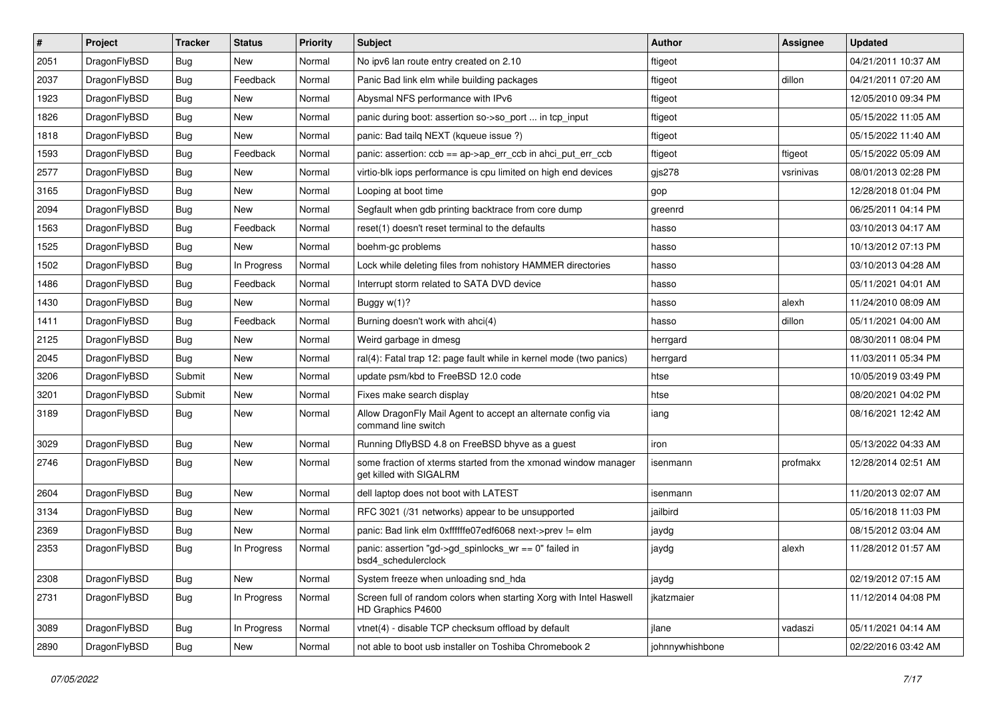| $\sharp$ | Project      | <b>Tracker</b> | <b>Status</b> | <b>Priority</b> | Subject                                                                                   | <b>Author</b>   | Assignee  | <b>Updated</b>      |
|----------|--------------|----------------|---------------|-----------------|-------------------------------------------------------------------------------------------|-----------------|-----------|---------------------|
| 2051     | DragonFlyBSD | Bug            | New           | Normal          | No ipv6 lan route entry created on 2.10                                                   | ftigeot         |           | 04/21/2011 10:37 AM |
| 2037     | DragonFlyBSD | Bug            | Feedback      | Normal          | Panic Bad link elm while building packages                                                | ftigeot         | dillon    | 04/21/2011 07:20 AM |
| 1923     | DragonFlyBSD | <b>Bug</b>     | New           | Normal          | Abysmal NFS performance with IPv6                                                         | ftigeot         |           | 12/05/2010 09:34 PM |
| 1826     | DragonFlyBSD | Bug            | New           | Normal          | panic during boot: assertion so->so_port  in tcp_input                                    | ftigeot         |           | 05/15/2022 11:05 AM |
| 1818     | DragonFlyBSD | Bug            | <b>New</b>    | Normal          | panic: Bad tailq NEXT (kqueue issue ?)                                                    | ftigeot         |           | 05/15/2022 11:40 AM |
| 1593     | DragonFlyBSD | Bug            | Feedback      | Normal          | panic: assertion: ccb == ap->ap_err_ccb in ahci_put_err_ccb                               | ftigeot         | ftigeot   | 05/15/2022 05:09 AM |
| 2577     | DragonFlyBSD | Bug            | New           | Normal          | virtio-blk iops performance is cpu limited on high end devices                            | gjs278          | vsrinivas | 08/01/2013 02:28 PM |
| 3165     | DragonFlyBSD | <b>Bug</b>     | <b>New</b>    | Normal          | Looping at boot time                                                                      | gop             |           | 12/28/2018 01:04 PM |
| 2094     | DragonFlyBSD | <b>Bug</b>     | New           | Normal          | Segfault when gdb printing backtrace from core dump                                       | greenrd         |           | 06/25/2011 04:14 PM |
| 1563     | DragonFlyBSD | Bug            | Feedback      | Normal          | reset(1) doesn't reset terminal to the defaults                                           | hasso           |           | 03/10/2013 04:17 AM |
| 1525     | DragonFlyBSD | Bug            | New           | Normal          | boehm-gc problems                                                                         | hasso           |           | 10/13/2012 07:13 PM |
| 1502     | DragonFlyBSD | Bug            | In Progress   | Normal          | Lock while deleting files from nohistory HAMMER directories                               | hasso           |           | 03/10/2013 04:28 AM |
| 1486     | DragonFlyBSD | <b>Bug</b>     | Feedback      | Normal          | Interrupt storm related to SATA DVD device                                                | hasso           |           | 05/11/2021 04:01 AM |
| 1430     | DragonFlyBSD | Bug            | New           | Normal          | Buggy w(1)?                                                                               | hasso           | alexh     | 11/24/2010 08:09 AM |
| 1411     | DragonFlyBSD | Bug            | Feedback      | Normal          | Burning doesn't work with ahci(4)                                                         | hasso           | dillon    | 05/11/2021 04:00 AM |
| 2125     | DragonFlyBSD | Bug            | New           | Normal          | Weird garbage in dmesg                                                                    | herrgard        |           | 08/30/2011 08:04 PM |
| 2045     | DragonFlyBSD | Bug            | New           | Normal          | ral(4): Fatal trap 12: page fault while in kernel mode (two panics)                       | herrgard        |           | 11/03/2011 05:34 PM |
| 3206     | DragonFlyBSD | Submit         | New           | Normal          | update psm/kbd to FreeBSD 12.0 code                                                       | htse            |           | 10/05/2019 03:49 PM |
| 3201     | DragonFlyBSD | Submit         | <b>New</b>    | Normal          | Fixes make search display                                                                 | htse            |           | 08/20/2021 04:02 PM |
| 3189     | DragonFlyBSD | Bug            | New           | Normal          | Allow DragonFly Mail Agent to accept an alternate config via<br>command line switch       | iang            |           | 08/16/2021 12:42 AM |
| 3029     | DragonFlyBSD | Bug            | New           | Normal          | Running DflyBSD 4.8 on FreeBSD bhyve as a guest                                           | iron            |           | 05/13/2022 04:33 AM |
| 2746     | DragonFlyBSD | Bug            | New           | Normal          | some fraction of xterms started from the xmonad window manager<br>get killed with SIGALRM | isenmann        | profmakx  | 12/28/2014 02:51 AM |
| 2604     | DragonFlyBSD | Bug            | <b>New</b>    | Normal          | dell laptop does not boot with LATEST                                                     | isenmann        |           | 11/20/2013 02:07 AM |
| 3134     | DragonFlyBSD | Bug            | New           | Normal          | RFC 3021 (/31 networks) appear to be unsupported                                          | jailbird        |           | 05/16/2018 11:03 PM |
| 2369     | DragonFlyBSD | Bug            | <b>New</b>    | Normal          | panic: Bad link elm 0xffffffe07edf6068 next->prev != elm                                  | jaydg           |           | 08/15/2012 03:04 AM |
| 2353     | DragonFlyBSD | Bug            | In Progress   | Normal          | panic: assertion "gd->gd_spinlocks_wr == 0" failed in<br>bsd4 schedulerclock              | jaydg           | alexh     | 11/28/2012 01:57 AM |
| 2308     | DragonFlyBSD | <b>Bug</b>     | New           | Normal          | System freeze when unloading snd_hda                                                      | jaydg           |           | 02/19/2012 07:15 AM |
| 2731     | DragonFlyBSD | Bug            | In Progress   | Normal          | Screen full of random colors when starting Xorg with Intel Haswell<br>HD Graphics P4600   | jkatzmaier      |           | 11/12/2014 04:08 PM |
| 3089     | DragonFlyBSD | <b>Bug</b>     | In Progress   | Normal          | vtnet(4) - disable TCP checksum offload by default                                        | jlane           | vadaszi   | 05/11/2021 04:14 AM |
| 2890     | DragonFlyBSD | <b>Bug</b>     | New           | Normal          | not able to boot usb installer on Toshiba Chromebook 2                                    | johnnywhishbone |           | 02/22/2016 03:42 AM |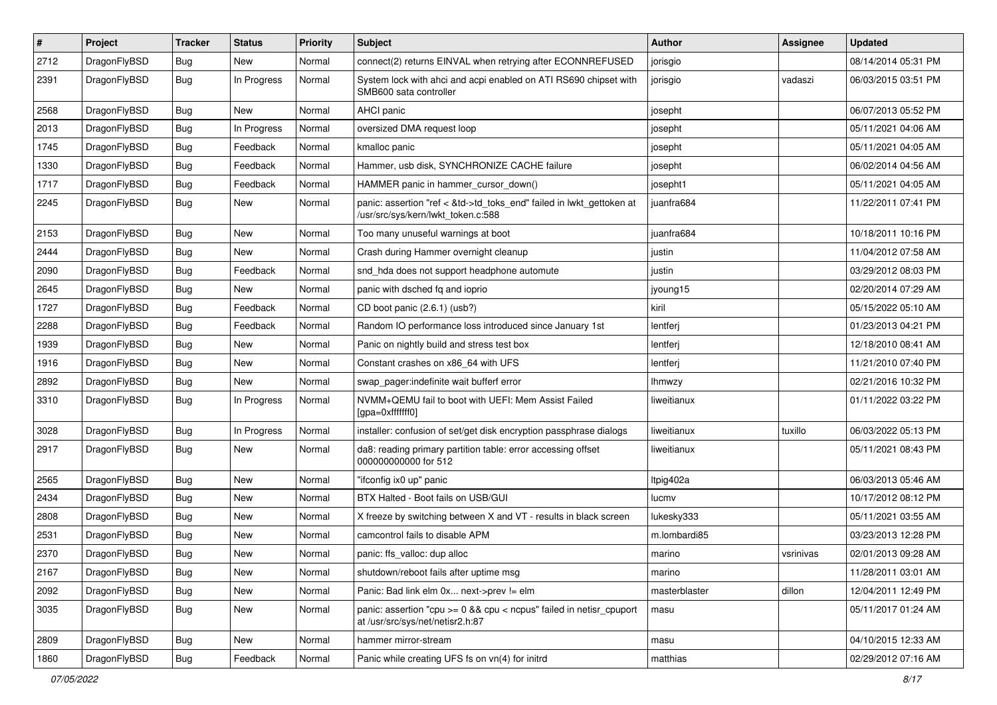| $\pmb{\#}$ | Project      | <b>Tracker</b> | <b>Status</b> | <b>Priority</b> | Subject                                                                                                    | <b>Author</b> | Assignee  | <b>Updated</b>      |
|------------|--------------|----------------|---------------|-----------------|------------------------------------------------------------------------------------------------------------|---------------|-----------|---------------------|
| 2712       | DragonFlyBSD | Bug            | New           | Normal          | connect(2) returns EINVAL when retrying after ECONNREFUSED                                                 | jorisgio      |           | 08/14/2014 05:31 PM |
| 2391       | DragonFlyBSD | Bug            | In Progress   | Normal          | System lock with ahci and acpi enabled on ATI RS690 chipset with<br>SMB600 sata controller                 | jorisgio      | vadaszi   | 06/03/2015 03:51 PM |
| 2568       | DragonFlyBSD | Bug            | New           | Normal          | AHCI panic                                                                                                 | josepht       |           | 06/07/2013 05:52 PM |
| 2013       | DragonFlyBSD | Bug            | In Progress   | Normal          | oversized DMA request loop                                                                                 | josepht       |           | 05/11/2021 04:06 AM |
| 1745       | DragonFlyBSD | Bug            | Feedback      | Normal          | kmalloc panic                                                                                              | josepht       |           | 05/11/2021 04:05 AM |
| 1330       | DragonFlyBSD | Bug            | Feedback      | Normal          | Hammer, usb disk, SYNCHRONIZE CACHE failure                                                                | josepht       |           | 06/02/2014 04:56 AM |
| 1717       | DragonFlyBSD | Bug            | Feedback      | Normal          | HAMMER panic in hammer cursor down()                                                                       | josepht1      |           | 05/11/2021 04:05 AM |
| 2245       | DragonFlyBSD | Bug            | New           | Normal          | panic: assertion "ref < &td->td_toks_end" failed in lwkt_gettoken at<br>/usr/src/sys/kern/lwkt_token.c:588 | juanfra684    |           | 11/22/2011 07:41 PM |
| 2153       | DragonFlyBSD | <b>Bug</b>     | <b>New</b>    | Normal          | Too many unuseful warnings at boot                                                                         | juanfra684    |           | 10/18/2011 10:16 PM |
| 2444       | DragonFlyBSD | Bug            | <b>New</b>    | Normal          | Crash during Hammer overnight cleanup                                                                      | justin        |           | 11/04/2012 07:58 AM |
| 2090       | DragonFlyBSD | <b>Bug</b>     | Feedback      | Normal          | snd_hda does not support headphone automute                                                                | justin        |           | 03/29/2012 08:03 PM |
| 2645       | DragonFlyBSD | Bug            | New           | Normal          | panic with dsched fq and ioprio                                                                            | jyoung15      |           | 02/20/2014 07:29 AM |
| 1727       | DragonFlyBSD | Bug            | Feedback      | Normal          | CD boot panic (2.6.1) (usb?)                                                                               | kiril         |           | 05/15/2022 05:10 AM |
| 2288       | DragonFlyBSD | Bug            | Feedback      | Normal          | Random IO performance loss introduced since January 1st                                                    | lentferj      |           | 01/23/2013 04:21 PM |
| 1939       | DragonFlyBSD | Bug            | <b>New</b>    | Normal          | Panic on nightly build and stress test box                                                                 | lentferj      |           | 12/18/2010 08:41 AM |
| 1916       | DragonFlyBSD | Bug            | <b>New</b>    | Normal          | Constant crashes on x86_64 with UFS                                                                        | lentferj      |           | 11/21/2010 07:40 PM |
| 2892       | DragonFlyBSD | Bug            | New           | Normal          | swap pager:indefinite wait bufferf error                                                                   | lhmwzy        |           | 02/21/2016 10:32 PM |
| 3310       | DragonFlyBSD | Bug            | In Progress   | Normal          | NVMM+QEMU fail to boot with UEFI: Mem Assist Failed<br>[gpa=0xfffffff0]                                    | liweitianux   |           | 01/11/2022 03:22 PM |
| 3028       | DragonFlyBSD | Bug            | In Progress   | Normal          | installer: confusion of set/get disk encryption passphrase dialogs                                         | liweitianux   | tuxillo   | 06/03/2022 05:13 PM |
| 2917       | DragonFlyBSD | Bug            | <b>New</b>    | Normal          | da8: reading primary partition table: error accessing offset<br>000000000000 for 512                       | liweitianux   |           | 05/11/2021 08:43 PM |
| 2565       | DragonFlyBSD | Bug            | <b>New</b>    | Normal          | "ifconfig ix0 up" panic                                                                                    | Itpig402a     |           | 06/03/2013 05:46 AM |
| 2434       | DragonFlyBSD | Bug            | <b>New</b>    | Normal          | BTX Halted - Boot fails on USB/GUI                                                                         | lucmv         |           | 10/17/2012 08:12 PM |
| 2808       | DragonFlyBSD | <b>Bug</b>     | New           | Normal          | X freeze by switching between X and VT - results in black screen                                           | lukesky333    |           | 05/11/2021 03:55 AM |
| 2531       | DragonFlyBSD | Bug            | <b>New</b>    | Normal          | camcontrol fails to disable APM                                                                            | m.lombardi85  |           | 03/23/2013 12:28 PM |
| 2370       | DragonFlyBSD | <b>Bug</b>     | New           | Normal          | panic: ffs_valloc: dup alloc                                                                               | marino        | vsrinivas | 02/01/2013 09:28 AM |
| 2167       | DragonFlyBSD | <b>Bug</b>     | New           | Normal          | shutdown/reboot fails after uptime msg                                                                     | marino        |           | 11/28/2011 03:01 AM |
| 2092       | DragonFlyBSD | Bug            | New           | Normal          | Panic: Bad link elm 0x next->prev != elm                                                                   | masterblaster | dillon    | 12/04/2011 12:49 PM |
| 3035       | DragonFlyBSD | <b>Bug</b>     | New           | Normal          | panic: assertion "cpu >= 0 && cpu < ncpus" failed in netisr_cpuport<br>at /usr/src/sys/net/netisr2.h:87    | masu          |           | 05/11/2017 01:24 AM |
| 2809       | DragonFlyBSD | Bug            | New           | Normal          | hammer mirror-stream                                                                                       | masu          |           | 04/10/2015 12:33 AM |
| 1860       | DragonFlyBSD | <b>Bug</b>     | Feedback      | Normal          | Panic while creating UFS fs on vn(4) for initrd                                                            | matthias      |           | 02/29/2012 07:16 AM |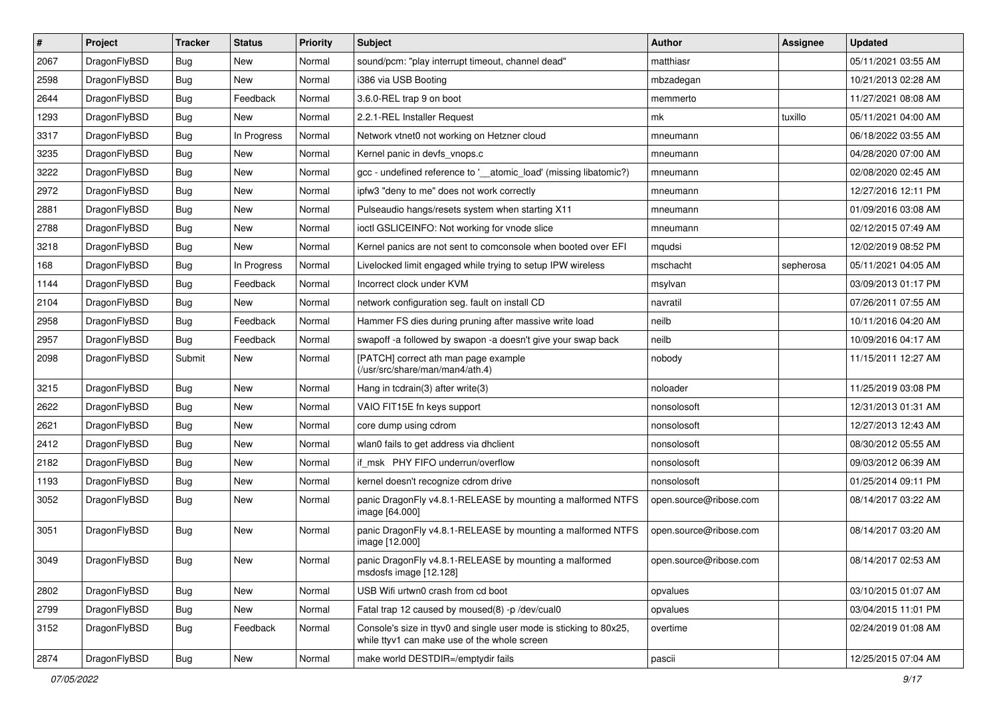| $\sharp$ | Project      | <b>Tracker</b> | <b>Status</b> | <b>Priority</b> | Subject                                                                                                            | <b>Author</b>          | <b>Assignee</b> | <b>Updated</b>      |
|----------|--------------|----------------|---------------|-----------------|--------------------------------------------------------------------------------------------------------------------|------------------------|-----------------|---------------------|
| 2067     | DragonFlyBSD | Bug            | New           | Normal          | sound/pcm: "play interrupt timeout, channel dead"                                                                  | matthiasr              |                 | 05/11/2021 03:55 AM |
| 2598     | DragonFlyBSD | Bug            | <b>New</b>    | Normal          | i386 via USB Booting                                                                                               | mbzadegan              |                 | 10/21/2013 02:28 AM |
| 2644     | DragonFlyBSD | Bug            | Feedback      | Normal          | 3.6.0-REL trap 9 on boot                                                                                           | memmerto               |                 | 11/27/2021 08:08 AM |
| 1293     | DragonFlyBSD | Bug            | New           | Normal          | 2.2.1-REL Installer Request                                                                                        | mk                     | tuxillo         | 05/11/2021 04:00 AM |
| 3317     | DragonFlyBSD | <b>Bug</b>     | In Progress   | Normal          | Network vtnet0 not working on Hetzner cloud                                                                        | mneumann               |                 | 06/18/2022 03:55 AM |
| 3235     | DragonFlyBSD | <b>Bug</b>     | New           | Normal          | Kernel panic in devfs vnops.c                                                                                      | mneumann               |                 | 04/28/2020 07:00 AM |
| 3222     | DragonFlyBSD | <b>Bug</b>     | New           | Normal          | gcc - undefined reference to '__atomic_load' (missing libatomic?)                                                  | mneumann               |                 | 02/08/2020 02:45 AM |
| 2972     | DragonFlyBSD | <b>Bug</b>     | <b>New</b>    | Normal          | ipfw3 "deny to me" does not work correctly                                                                         | mneumann               |                 | 12/27/2016 12:11 PM |
| 2881     | DragonFlyBSD | <b>Bug</b>     | New           | Normal          | Pulseaudio hangs/resets system when starting X11                                                                   | mneumann               |                 | 01/09/2016 03:08 AM |
| 2788     | DragonFlyBSD | <b>Bug</b>     | New           | Normal          | ioctl GSLICEINFO: Not working for vnode slice                                                                      | mneumann               |                 | 02/12/2015 07:49 AM |
| 3218     | DragonFlyBSD | <b>Bug</b>     | New           | Normal          | Kernel panics are not sent to comconsole when booted over EFI                                                      | mqudsi                 |                 | 12/02/2019 08:52 PM |
| 168      | DragonFlyBSD | <b>Bug</b>     | In Progress   | Normal          | Livelocked limit engaged while trying to setup IPW wireless                                                        | mschacht               | sepherosa       | 05/11/2021 04:05 AM |
| 1144     | DragonFlyBSD | <b>Bug</b>     | Feedback      | Normal          | Incorrect clock under KVM                                                                                          | msylvan                |                 | 03/09/2013 01:17 PM |
| 2104     | DragonFlyBSD | <b>Bug</b>     | New           | Normal          | network configuration seg. fault on install CD                                                                     | navratil               |                 | 07/26/2011 07:55 AM |
| 2958     | DragonFlyBSD | <b>Bug</b>     | Feedback      | Normal          | Hammer FS dies during pruning after massive write load                                                             | neilb                  |                 | 10/11/2016 04:20 AM |
| 2957     | DragonFlyBSD | <b>Bug</b>     | Feedback      | Normal          | swapoff -a followed by swapon -a doesn't give your swap back                                                       | neilb                  |                 | 10/09/2016 04:17 AM |
| 2098     | DragonFlyBSD | Submit         | New           | Normal          | [PATCH] correct ath man page example<br>(/usr/src/share/man/man4/ath.4)                                            | nobody                 |                 | 11/15/2011 12:27 AM |
| 3215     | DragonFlyBSD | <b>Bug</b>     | New           | Normal          | Hang in todrain(3) after write(3)                                                                                  | noloader               |                 | 11/25/2019 03:08 PM |
| 2622     | DragonFlyBSD | <b>Bug</b>     | New           | Normal          | VAIO FIT15E fn keys support                                                                                        | nonsolosoft            |                 | 12/31/2013 01:31 AM |
| 2621     | DragonFlyBSD | <b>Bug</b>     | New           | Normal          | core dump using cdrom                                                                                              | nonsolosoft            |                 | 12/27/2013 12:43 AM |
| 2412     | DragonFlyBSD | <b>Bug</b>     | <b>New</b>    | Normal          | wlan0 fails to get address via dhclient                                                                            | nonsolosoft            |                 | 08/30/2012 05:55 AM |
| 2182     | DragonFlyBSD | <b>Bug</b>     | New           | Normal          | if_msk PHY FIFO underrun/overflow                                                                                  | nonsolosoft            |                 | 09/03/2012 06:39 AM |
| 1193     | DragonFlyBSD | Bug            | New           | Normal          | kernel doesn't recognize cdrom drive                                                                               | nonsolosoft            |                 | 01/25/2014 09:11 PM |
| 3052     | DragonFlyBSD | <b>Bug</b>     | New           | Normal          | panic DragonFly v4.8.1-RELEASE by mounting a malformed NTFS<br>image [64.000]                                      | open.source@ribose.com |                 | 08/14/2017 03:22 AM |
| 3051     | DragonFlyBSD | <b>Bug</b>     | New           | Normal          | panic DragonFly v4.8.1-RELEASE by mounting a malformed NTFS<br>image [12.000]                                      | open.source@ribose.com |                 | 08/14/2017 03:20 AM |
| 3049     | DragonFlyBSD | Bug            | New           | Normal          | panic DragonFly v4.8.1-RELEASE by mounting a malformed<br>msdosfs image [12.128]                                   | open.source@ribose.com |                 | 08/14/2017 02:53 AM |
| 2802     | DragonFlyBSD | <b>Bug</b>     | New           | Normal          | USB Wifi urtwn0 crash from cd boot                                                                                 | opvalues               |                 | 03/10/2015 01:07 AM |
| 2799     | DragonFlyBSD | <b>Bug</b>     | New           | Normal          | Fatal trap 12 caused by moused(8) -p /dev/cual0                                                                    | opvalues               |                 | 03/04/2015 11:01 PM |
| 3152     | DragonFlyBSD | <b>Bug</b>     | Feedback      | Normal          | Console's size in ttyv0 and single user mode is sticking to 80x25,<br>while ttyv1 can make use of the whole screen | overtime               |                 | 02/24/2019 01:08 AM |
| 2874     | DragonFlyBSD | Bug            | New           | Normal          | make world DESTDIR=/emptydir fails                                                                                 | pascii                 |                 | 12/25/2015 07:04 AM |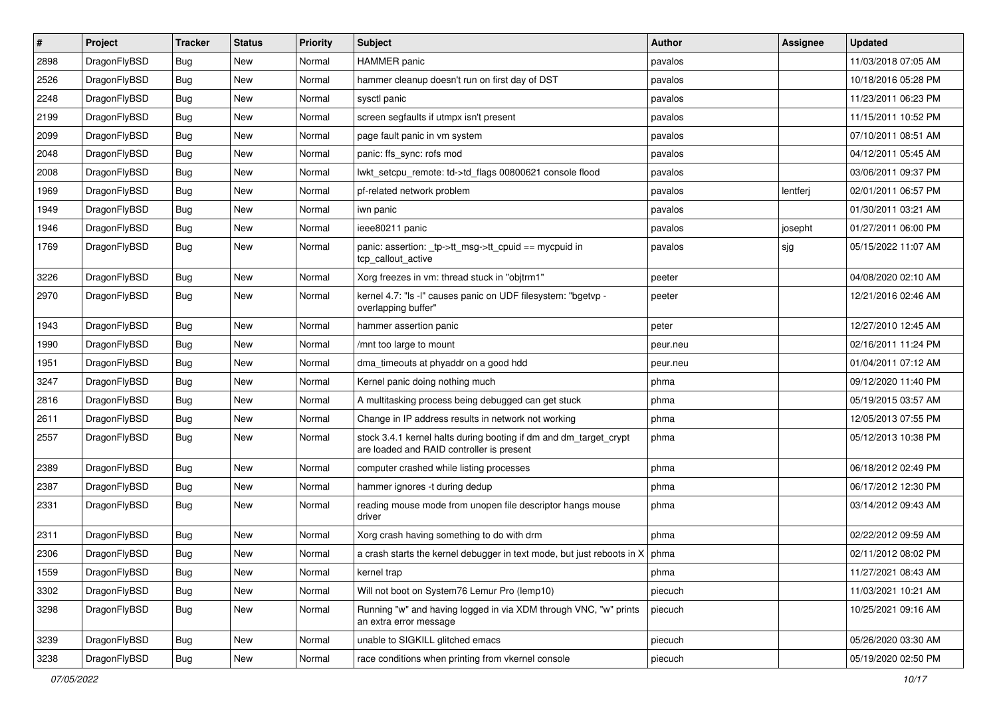| $\sharp$ | Project      | <b>Tracker</b> | <b>Status</b> | <b>Priority</b> | Subject                                                                                                        | <b>Author</b> | Assignee | <b>Updated</b>      |
|----------|--------------|----------------|---------------|-----------------|----------------------------------------------------------------------------------------------------------------|---------------|----------|---------------------|
| 2898     | DragonFlyBSD | <b>Bug</b>     | New           | Normal          | <b>HAMMER</b> panic                                                                                            | pavalos       |          | 11/03/2018 07:05 AM |
| 2526     | DragonFlyBSD | <b>Bug</b>     | New           | Normal          | hammer cleanup doesn't run on first day of DST                                                                 | pavalos       |          | 10/18/2016 05:28 PM |
| 2248     | DragonFlyBSD | <b>Bug</b>     | New           | Normal          | sysctl panic                                                                                                   | pavalos       |          | 11/23/2011 06:23 PM |
| 2199     | DragonFlyBSD | <b>Bug</b>     | New           | Normal          | screen segfaults if utmpx isn't present                                                                        | pavalos       |          | 11/15/2011 10:52 PM |
| 2099     | DragonFlyBSD | <b>Bug</b>     | New           | Normal          | page fault panic in vm system                                                                                  | pavalos       |          | 07/10/2011 08:51 AM |
| 2048     | DragonFlyBSD | <b>Bug</b>     | <b>New</b>    | Normal          | panic: ffs sync: rofs mod                                                                                      | pavalos       |          | 04/12/2011 05:45 AM |
| 2008     | DragonFlyBSD | <b>Bug</b>     | New           | Normal          | lwkt_setcpu_remote: td->td_flags 00800621 console flood                                                        | pavalos       |          | 03/06/2011 09:37 PM |
| 1969     | DragonFlyBSD | <b>Bug</b>     | <b>New</b>    | Normal          | pf-related network problem                                                                                     | pavalos       | lentferj | 02/01/2011 06:57 PM |
| 1949     | DragonFlyBSD | <b>Bug</b>     | New           | Normal          | iwn panic                                                                                                      | pavalos       |          | 01/30/2011 03:21 AM |
| 1946     | DragonFlyBSD | <b>Bug</b>     | <b>New</b>    | Normal          | ieee80211 panic                                                                                                | pavalos       | josepht  | 01/27/2011 06:00 PM |
| 1769     | DragonFlyBSD | <b>Bug</b>     | New           | Normal          | panic: assertion: _tp->tt_msg->tt_cpuid == mycpuid in<br>tcp_callout_active                                    | pavalos       | sjg      | 05/15/2022 11:07 AM |
| 3226     | DragonFlyBSD | <b>Bug</b>     | <b>New</b>    | Normal          | Xorg freezes in vm: thread stuck in "objtrm1"                                                                  | peeter        |          | 04/08/2020 02:10 AM |
| 2970     | DragonFlyBSD | <b>Bug</b>     | <b>New</b>    | Normal          | kernel 4.7: "Is -I" causes panic on UDF filesystem: "bgetvp -<br>overlapping buffer"                           | peeter        |          | 12/21/2016 02:46 AM |
| 1943     | DragonFlyBSD | <b>Bug</b>     | <b>New</b>    | Normal          | hammer assertion panic                                                                                         | peter         |          | 12/27/2010 12:45 AM |
| 1990     | DragonFlyBSD | <b>Bug</b>     | New           | Normal          | /mnt too large to mount                                                                                        | peur.neu      |          | 02/16/2011 11:24 PM |
| 1951     | DragonFlyBSD | <b>Bug</b>     | <b>New</b>    | Normal          | dma timeouts at phyaddr on a good hdd                                                                          | peur.neu      |          | 01/04/2011 07:12 AM |
| 3247     | DragonFlyBSD | <b>Bug</b>     | New           | Normal          | Kernel panic doing nothing much                                                                                | phma          |          | 09/12/2020 11:40 PM |
| 2816     | DragonFlyBSD | <b>Bug</b>     | New           | Normal          | A multitasking process being debugged can get stuck                                                            | phma          |          | 05/19/2015 03:57 AM |
| 2611     | DragonFlyBSD | <b>Bug</b>     | New           | Normal          | Change in IP address results in network not working                                                            | phma          |          | 12/05/2013 07:55 PM |
| 2557     | DragonFlyBSD | <b>Bug</b>     | New           | Normal          | stock 3.4.1 kernel halts during booting if dm and dm_target_crypt<br>are loaded and RAID controller is present | phma          |          | 05/12/2013 10:38 PM |
| 2389     | DragonFlyBSD | <b>Bug</b>     | New           | Normal          | computer crashed while listing processes                                                                       | phma          |          | 06/18/2012 02:49 PM |
| 2387     | DragonFlyBSD | <b>Bug</b>     | New           | Normal          | hammer ignores -t during dedup                                                                                 | phma          |          | 06/17/2012 12:30 PM |
| 2331     | DragonFlyBSD | <b>Bug</b>     | New           | Normal          | reading mouse mode from unopen file descriptor hangs mouse<br>driver                                           | phma          |          | 03/14/2012 09:43 AM |
| 2311     | DragonFlyBSD | <b>Bug</b>     | New           | Normal          | Xorg crash having something to do with drm                                                                     | phma          |          | 02/22/2012 09:59 AM |
| 2306     | DragonFlyBSD | Bug            | New           | Normal          | a crash starts the kernel debugger in text mode, but just reboots in $X \mid p$ hma                            |               |          | 02/11/2012 08:02 PM |
| 1559     | DragonFlyBSD | <b>Bug</b>     | New           | Normal          | kernel trap                                                                                                    | phma          |          | 11/27/2021 08:43 AM |
| 3302     | DragonFlyBSD | <b>Bug</b>     | <b>New</b>    | Normal          | Will not boot on System76 Lemur Pro (lemp10)                                                                   | piecuch       |          | 11/03/2021 10:21 AM |
| 3298     | DragonFlyBSD | <b>Bug</b>     | <b>New</b>    | Normal          | Running "w" and having logged in via XDM through VNC, "w" prints<br>an extra error message                     | piecuch       |          | 10/25/2021 09:16 AM |
| 3239     | DragonFlyBSD | Bug            | <b>New</b>    | Normal          | unable to SIGKILL glitched emacs                                                                               | piecuch       |          | 05/26/2020 03:30 AM |
| 3238     | DragonFlyBSD | Bug            | New           | Normal          | race conditions when printing from vkernel console                                                             | piecuch       |          | 05/19/2020 02:50 PM |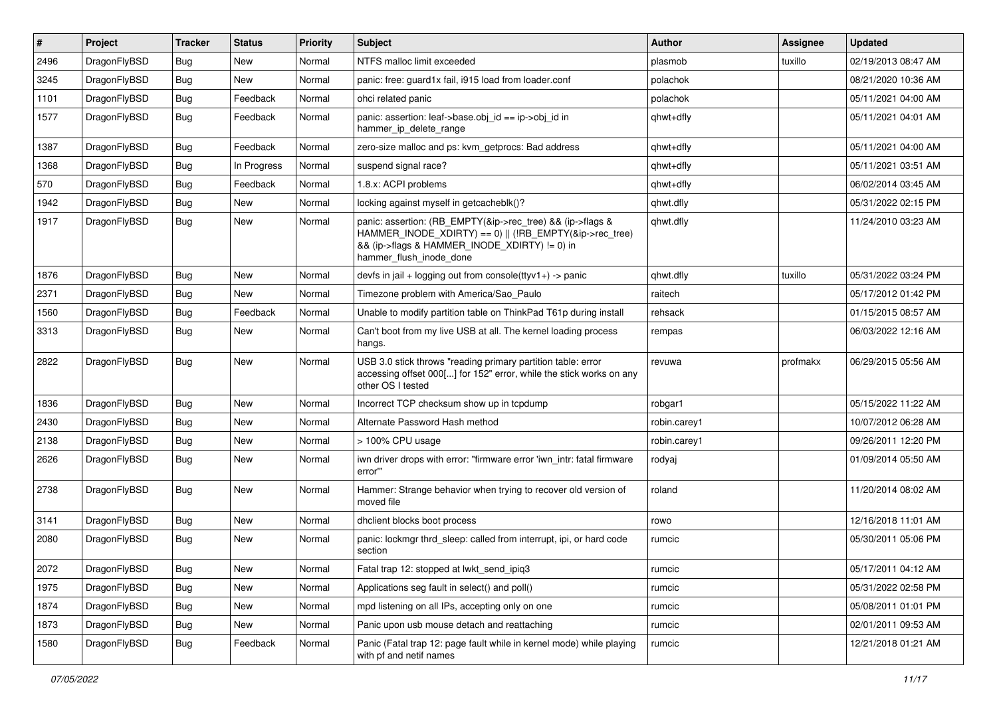| $\vert$ # | Project      | <b>Tracker</b> | <b>Status</b> | <b>Priority</b> | <b>Subject</b>                                                                                                                                                                                    | Author       | Assignee | <b>Updated</b>      |
|-----------|--------------|----------------|---------------|-----------------|---------------------------------------------------------------------------------------------------------------------------------------------------------------------------------------------------|--------------|----------|---------------------|
| 2496      | DragonFlyBSD | Bug            | <b>New</b>    | Normal          | NTFS malloc limit exceeded                                                                                                                                                                        | plasmob      | tuxillo  | 02/19/2013 08:47 AM |
| 3245      | DragonFlyBSD | <b>Bug</b>     | <b>New</b>    | Normal          | panic: free: guard1x fail, i915 load from loader.conf                                                                                                                                             | polachok     |          | 08/21/2020 10:36 AM |
| 1101      | DragonFlyBSD | <b>Bug</b>     | Feedback      | Normal          | ohci related panic                                                                                                                                                                                | polachok     |          | 05/11/2021 04:00 AM |
| 1577      | DragonFlyBSD | <b>Bug</b>     | Feedback      | Normal          | panic: assertion: leaf->base.obj_id == ip->obj_id in<br>hammer_ip_delete_range                                                                                                                    | qhwt+dfly    |          | 05/11/2021 04:01 AM |
| 1387      | DragonFlyBSD | <b>Bug</b>     | Feedback      | Normal          | zero-size malloc and ps: kvm getprocs: Bad address                                                                                                                                                | qhwt+dfly    |          | 05/11/2021 04:00 AM |
| 1368      | DragonFlyBSD | Bug            | In Progress   | Normal          | suspend signal race?                                                                                                                                                                              | qhwt+dfly    |          | 05/11/2021 03:51 AM |
| 570       | DragonFlyBSD | <b>Bug</b>     | Feedback      | Normal          | 1.8.x: ACPI problems                                                                                                                                                                              | qhwt+dfly    |          | 06/02/2014 03:45 AM |
| 1942      | DragonFlyBSD | Bug            | <b>New</b>    | Normal          | locking against myself in getcacheblk()?                                                                                                                                                          | qhwt.dfly    |          | 05/31/2022 02:15 PM |
| 1917      | DragonFlyBSD | <b>Bug</b>     | New           | Normal          | panic: assertion: (RB_EMPTY(&ip->rec_tree) && (ip->flags &<br>HAMMER_INODE_XDIRTY) == 0)    (!RB_EMPTY(&ip->rec_tree)<br>&& (ip->flags & HAMMER_INODE_XDIRTY) != 0) in<br>hammer_flush_inode_done | qhwt.dfly    |          | 11/24/2010 03:23 AM |
| 1876      | DragonFlyBSD | <b>Bug</b>     | <b>New</b>    | Normal          | devfs in jail + logging out from console( $t$ tyv1+) -> panic                                                                                                                                     | qhwt.dfly    | tuxillo  | 05/31/2022 03:24 PM |
| 2371      | DragonFlyBSD | Bug            | <b>New</b>    | Normal          | Timezone problem with America/Sao Paulo                                                                                                                                                           | raitech      |          | 05/17/2012 01:42 PM |
| 1560      | DragonFlyBSD | <b>Bug</b>     | Feedback      | Normal          | Unable to modify partition table on ThinkPad T61p during install                                                                                                                                  | rehsack      |          | 01/15/2015 08:57 AM |
| 3313      | DragonFlyBSD | Bug            | New           | Normal          | Can't boot from my live USB at all. The kernel loading process<br>hangs.                                                                                                                          | rempas       |          | 06/03/2022 12:16 AM |
| 2822      | DragonFlyBSD | <b>Bug</b>     | New           | Normal          | USB 3.0 stick throws "reading primary partition table: error<br>accessing offset 000[] for 152" error, while the stick works on any<br>other OS I tested                                          | revuwa       | profmakx | 06/29/2015 05:56 AM |
| 1836      | DragonFlyBSD | <b>Bug</b>     | <b>New</b>    | Normal          | Incorrect TCP checksum show up in tcpdump                                                                                                                                                         | robgar1      |          | 05/15/2022 11:22 AM |
| 2430      | DragonFlyBSD | Bug            | New           | Normal          | Alternate Password Hash method                                                                                                                                                                    | robin.carey1 |          | 10/07/2012 06:28 AM |
| 2138      | DragonFlyBSD | Bug            | <b>New</b>    | Normal          | > 100% CPU usage                                                                                                                                                                                  | robin.carey1 |          | 09/26/2011 12:20 PM |
| 2626      | DragonFlyBSD | Bug            | New           | Normal          | iwn driver drops with error: "firmware error 'iwn intr: fatal firmware<br>error""                                                                                                                 | rodyaj       |          | 01/09/2014 05:50 AM |
| 2738      | DragonFlyBSD | <b>Bug</b>     | New           | Normal          | Hammer: Strange behavior when trying to recover old version of<br>moved file                                                                                                                      | roland       |          | 11/20/2014 08:02 AM |
| 3141      | DragonFlyBSD | Bug            | <b>New</b>    | Normal          | dhclient blocks boot process                                                                                                                                                                      | rowo         |          | 12/16/2018 11:01 AM |
| 2080      | DragonFlyBSD | <b>Bug</b>     | <b>New</b>    | Normal          | panic: lockmgr thrd sleep: called from interrupt, ipi, or hard code<br>section                                                                                                                    | rumcic       |          | 05/30/2011 05:06 PM |
| 2072      | DragonFlyBSD | Bug            | New           | Normal          | Fatal trap 12: stopped at lwkt_send_ipiq3                                                                                                                                                         | rumcic       |          | 05/17/2011 04:12 AM |
| 1975      | DragonFlyBSD | <b>Bug</b>     | New           | Normal          | Applications seg fault in select() and poll()                                                                                                                                                     | rumcic       |          | 05/31/2022 02:58 PM |
| 1874      | DragonFlyBSD | Bug            | New           | Normal          | mpd listening on all IPs, accepting only on one                                                                                                                                                   | rumcic       |          | 05/08/2011 01:01 PM |
| 1873      | DragonFlyBSD | <b>Bug</b>     | New           | Normal          | Panic upon usb mouse detach and reattaching                                                                                                                                                       | rumcic       |          | 02/01/2011 09:53 AM |
| 1580      | DragonFlyBSD | <b>Bug</b>     | Feedback      | Normal          | Panic (Fatal trap 12: page fault while in kernel mode) while playing<br>with pf and netif names                                                                                                   | rumcic       |          | 12/21/2018 01:21 AM |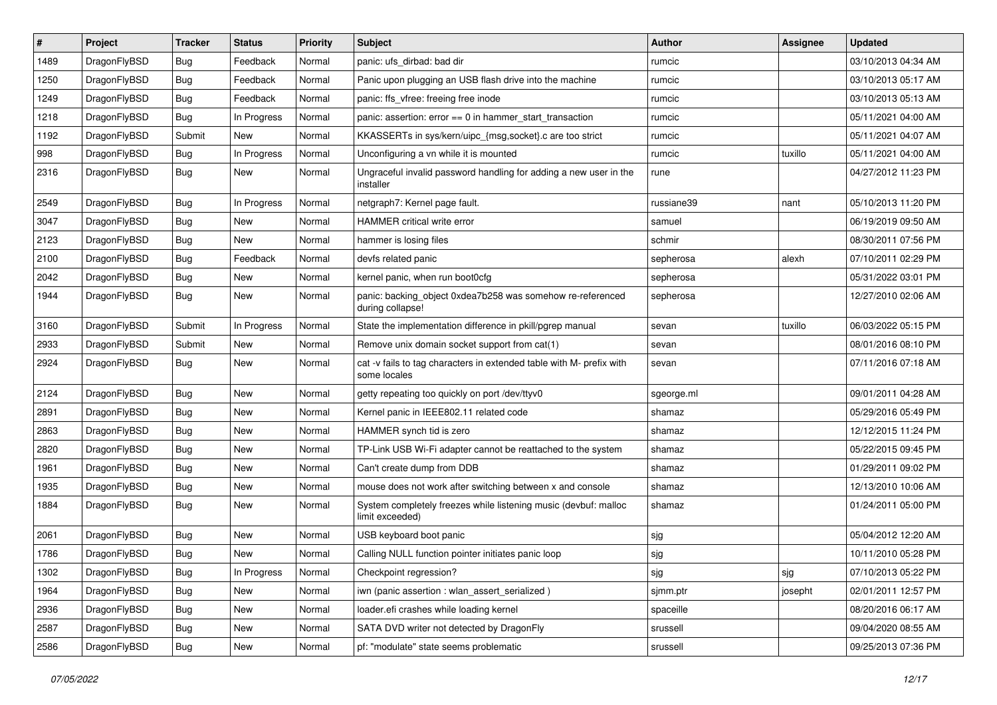| #    | Project      | <b>Tracker</b> | <b>Status</b> | <b>Priority</b> | <b>Subject</b>                                                                       | Author     | Assignee | <b>Updated</b>      |
|------|--------------|----------------|---------------|-----------------|--------------------------------------------------------------------------------------|------------|----------|---------------------|
| 1489 | DragonFlyBSD | Bug            | Feedback      | Normal          | panic: ufs_dirbad: bad dir                                                           | rumcic     |          | 03/10/2013 04:34 AM |
| 1250 | DragonFlyBSD | <b>Bug</b>     | Feedback      | Normal          | Panic upon plugging an USB flash drive into the machine                              | rumcic     |          | 03/10/2013 05:17 AM |
| 1249 | DragonFlyBSD | <b>Bug</b>     | Feedback      | Normal          | panic: ffs vfree: freeing free inode                                                 | rumcic     |          | 03/10/2013 05:13 AM |
| 1218 | DragonFlyBSD | Bug            | In Progress   | Normal          | panic: assertion: error == 0 in hammer_start_transaction                             | rumcic     |          | 05/11/2021 04:00 AM |
| 1192 | DragonFlyBSD | Submit         | <b>New</b>    | Normal          | KKASSERTs in sys/kern/uipc_{msg,socket}.c are too strict                             | rumcic     |          | 05/11/2021 04:07 AM |
| 998  | DragonFlyBSD | <b>Bug</b>     | In Progress   | Normal          | Unconfiguring a vn while it is mounted                                               | rumcic     | tuxillo  | 05/11/2021 04:00 AM |
| 2316 | DragonFlyBSD | Bug            | New           | Normal          | Ungraceful invalid password handling for adding a new user in the<br>installer       | rune       |          | 04/27/2012 11:23 PM |
| 2549 | DragonFlyBSD | <b>Bug</b>     | In Progress   | Normal          | netgraph7: Kernel page fault.                                                        | russiane39 | nant     | 05/10/2013 11:20 PM |
| 3047 | DragonFlyBSD | <b>Bug</b>     | <b>New</b>    | Normal          | HAMMER critical write error                                                          | samuel     |          | 06/19/2019 09:50 AM |
| 2123 | DragonFlyBSD | <b>Bug</b>     | <b>New</b>    | Normal          | hammer is losing files                                                               | schmir     |          | 08/30/2011 07:56 PM |
| 2100 | DragonFlyBSD | Bug            | Feedback      | Normal          | devfs related panic                                                                  | sepherosa  | alexh    | 07/10/2011 02:29 PM |
| 2042 | DragonFlyBSD | <b>Bug</b>     | <b>New</b>    | Normal          | kernel panic, when run boot0cfg                                                      | sepherosa  |          | 05/31/2022 03:01 PM |
| 1944 | DragonFlyBSD | Bug            | <b>New</b>    | Normal          | panic: backing_object 0xdea7b258 was somehow re-referenced<br>during collapse!       | sepherosa  |          | 12/27/2010 02:06 AM |
| 3160 | DragonFlyBSD | Submit         | In Progress   | Normal          | State the implementation difference in pkill/pgrep manual                            | sevan      | tuxillo  | 06/03/2022 05:15 PM |
| 2933 | DragonFlyBSD | Submit         | <b>New</b>    | Normal          | Remove unix domain socket support from cat(1)                                        | sevan      |          | 08/01/2016 08:10 PM |
| 2924 | DragonFlyBSD | Bug            | <b>New</b>    | Normal          | cat -v fails to tag characters in extended table with M- prefix with<br>some locales | sevan      |          | 07/11/2016 07:18 AM |
| 2124 | DragonFlyBSD | <b>Bug</b>     | <b>New</b>    | Normal          | getty repeating too quickly on port /dev/ttyv0                                       | sgeorge.ml |          | 09/01/2011 04:28 AM |
| 2891 | DragonFlyBSD | <b>Bug</b>     | <b>New</b>    | Normal          | Kernel panic in IEEE802.11 related code                                              | shamaz     |          | 05/29/2016 05:49 PM |
| 2863 | DragonFlyBSD | <b>Bug</b>     | <b>New</b>    | Normal          | HAMMER synch tid is zero                                                             | shamaz     |          | 12/12/2015 11:24 PM |
| 2820 | DragonFlyBSD | <b>Bug</b>     | <b>New</b>    | Normal          | TP-Link USB Wi-Fi adapter cannot be reattached to the system                         | shamaz     |          | 05/22/2015 09:45 PM |
| 1961 | DragonFlyBSD | <b>Bug</b>     | <b>New</b>    | Normal          | Can't create dump from DDB                                                           | shamaz     |          | 01/29/2011 09:02 PM |
| 1935 | DragonFlyBSD | <b>Bug</b>     | <b>New</b>    | Normal          | mouse does not work after switching between x and console                            | shamaz     |          | 12/13/2010 10:06 AM |
| 1884 | DragonFlyBSD | <b>Bug</b>     | <b>New</b>    | Normal          | System completely freezes while listening music (devbuf: malloc<br>limit exceeded)   | shamaz     |          | 01/24/2011 05:00 PM |
| 2061 | DragonFlyBSD | Bug            | <b>New</b>    | Normal          | USB keyboard boot panic                                                              | sjg        |          | 05/04/2012 12:20 AM |
| 1786 | DragonFlyBSD | <b>Bug</b>     | <b>New</b>    | Normal          | Calling NULL function pointer initiates panic loop                                   | sjg        |          | 10/11/2010 05:28 PM |
| 1302 | DragonFlyBSD | <b>Bug</b>     | In Progress   | Normal          | Checkpoint regression?                                                               | sjg        | sjg      | 07/10/2013 05:22 PM |
| 1964 | DragonFlyBSD | Bug            | New           | Normal          | iwn (panic assertion : wlan_assert_serialized)                                       | sjmm.ptr   | josepht  | 02/01/2011 12:57 PM |
| 2936 | DragonFlyBSD | <b>Bug</b>     | New           | Normal          | loader.efi crashes while loading kernel                                              | spaceille  |          | 08/20/2016 06:17 AM |
| 2587 | DragonFlyBSD | <b>Bug</b>     | New           | Normal          | SATA DVD writer not detected by DragonFly                                            | srussell   |          | 09/04/2020 08:55 AM |
| 2586 | DragonFlyBSD | <b>Bug</b>     | New           | Normal          | pf: "modulate" state seems problematic                                               | srussell   |          | 09/25/2013 07:36 PM |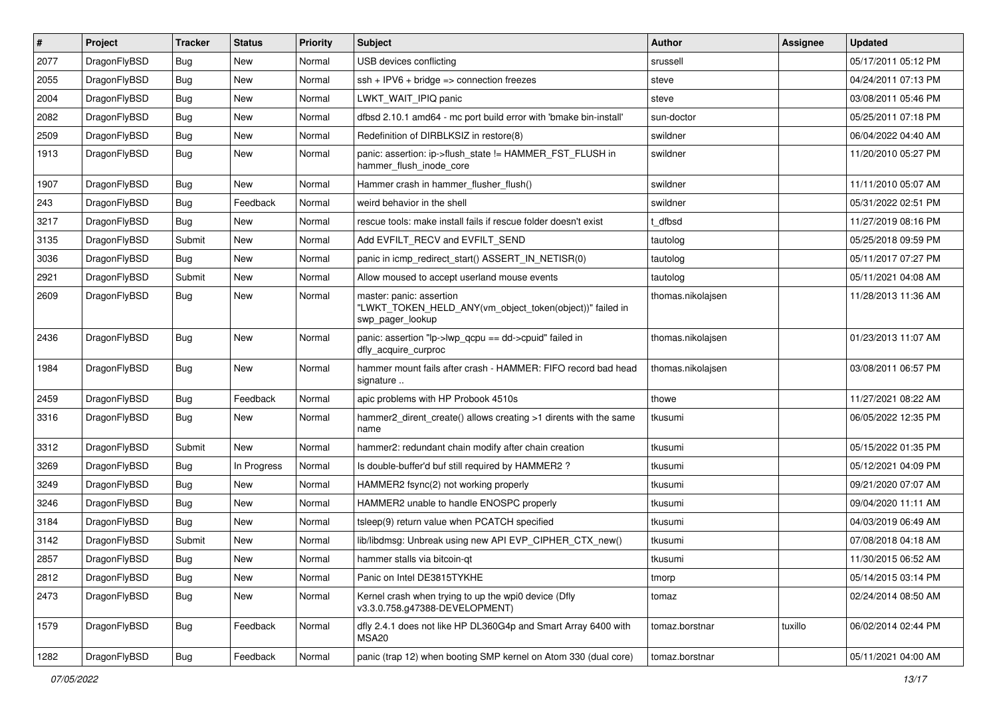| $\sharp$ | Project      | <b>Tracker</b> | <b>Status</b> | <b>Priority</b> | Subject                                                                                                  | <b>Author</b>     | Assignee | <b>Updated</b>      |
|----------|--------------|----------------|---------------|-----------------|----------------------------------------------------------------------------------------------------------|-------------------|----------|---------------------|
| 2077     | DragonFlyBSD | Bug            | New           | Normal          | USB devices conflicting                                                                                  | srussell          |          | 05/17/2011 05:12 PM |
| 2055     | DragonFlyBSD | Bug            | <b>New</b>    | Normal          | $ssh + IPV6 + bridge \Rightarrow connection freezes$                                                     | steve             |          | 04/24/2011 07:13 PM |
| 2004     | DragonFlyBSD | Bug            | New           | Normal          | LWKT_WAIT_IPIQ panic                                                                                     | steve             |          | 03/08/2011 05:46 PM |
| 2082     | DragonFlyBSD | Bug            | New           | Normal          | dfbsd 2.10.1 amd64 - mc port build error with 'bmake bin-install'                                        | sun-doctor        |          | 05/25/2011 07:18 PM |
| 2509     | DragonFlyBSD | Bug            | <b>New</b>    | Normal          | Redefinition of DIRBLKSIZ in restore(8)                                                                  | swildner          |          | 06/04/2022 04:40 AM |
| 1913     | DragonFlyBSD | Bug            | <b>New</b>    | Normal          | panic: assertion: ip->flush state != HAMMER FST FLUSH in<br>hammer_flush_inode_core                      | swildner          |          | 11/20/2010 05:27 PM |
| 1907     | DragonFlyBSD | Bug            | <b>New</b>    | Normal          | Hammer crash in hammer_flusher_flush()                                                                   | swildner          |          | 11/11/2010 05:07 AM |
| 243      | DragonFlyBSD | Bug            | Feedback      | Normal          | weird behavior in the shell                                                                              | swildner          |          | 05/31/2022 02:51 PM |
| 3217     | DragonFlyBSD | Bug            | <b>New</b>    | Normal          | rescue tools: make install fails if rescue folder doesn't exist                                          | t_dfbsd           |          | 11/27/2019 08:16 PM |
| 3135     | DragonFlyBSD | Submit         | New           | Normal          | Add EVFILT RECV and EVFILT SEND                                                                          | tautolog          |          | 05/25/2018 09:59 PM |
| 3036     | DragonFlyBSD | Bug            | New           | Normal          | panic in icmp redirect start() ASSERT IN NETISR(0)                                                       | tautolog          |          | 05/11/2017 07:27 PM |
| 2921     | DragonFlyBSD | Submit         | <b>New</b>    | Normal          | Allow moused to accept userland mouse events                                                             | tautolog          |          | 05/11/2021 04:08 AM |
| 2609     | DragonFlyBSD | Bug            | <b>New</b>    | Normal          | master: panic: assertion<br>"LWKT_TOKEN_HELD_ANY(vm_object_token(object))" failed in<br>swp pager lookup | thomas.nikolajsen |          | 11/28/2013 11:36 AM |
| 2436     | DragonFlyBSD | Bug            | New           | Normal          | panic: assertion "lp->lwp_qcpu == dd->cpuid" failed in<br>dfly_acquire_curproc                           | thomas.nikolajsen |          | 01/23/2013 11:07 AM |
| 1984     | DragonFlyBSD | Bug            | <b>New</b>    | Normal          | hammer mount fails after crash - HAMMER: FIFO record bad head<br>signature                               | thomas.nikolajsen |          | 03/08/2011 06:57 PM |
| 2459     | DragonFlyBSD | Bug            | Feedback      | Normal          | apic problems with HP Probook 4510s                                                                      | thowe             |          | 11/27/2021 08:22 AM |
| 3316     | DragonFlyBSD | Bug            | New           | Normal          | hammer2 dirent create() allows creating >1 dirents with the same<br>name                                 | tkusumi           |          | 06/05/2022 12:35 PM |
| 3312     | DragonFlyBSD | Submit         | <b>New</b>    | Normal          | hammer2: redundant chain modify after chain creation                                                     | tkusumi           |          | 05/15/2022 01:35 PM |
| 3269     | DragonFlyBSD | Bug            | In Progress   | Normal          | Is double-buffer'd buf still required by HAMMER2 ?                                                       | tkusumi           |          | 05/12/2021 04:09 PM |
| 3249     | DragonFlyBSD | Bug            | New           | Normal          | HAMMER2 fsync(2) not working properly                                                                    | tkusumi           |          | 09/21/2020 07:07 AM |
| 3246     | DragonFlyBSD | Bug            | <b>New</b>    | Normal          | HAMMER2 unable to handle ENOSPC properly                                                                 | tkusumi           |          | 09/04/2020 11:11 AM |
| 3184     | DragonFlyBSD | Bug            | New           | Normal          | tsleep(9) return value when PCATCH specified                                                             | tkusumi           |          | 04/03/2019 06:49 AM |
| 3142     | DragonFlyBSD | Submit         | New           | Normal          | lib/libdmsg: Unbreak using new API EVP CIPHER CTX new()                                                  | tkusumi           |          | 07/08/2018 04:18 AM |
| 2857     | DragonFlyBSD | <b>Bug</b>     | <b>New</b>    | Normal          | hammer stalls via bitcoin-qt                                                                             | tkusumi           |          | 11/30/2015 06:52 AM |
| 2812     | DragonFlyBSD | Bug            | New           | Normal          | Panic on Intel DE3815TYKHE                                                                               | tmorp             |          | 05/14/2015 03:14 PM |
| 2473     | DragonFlyBSD | <b>Bug</b>     | New           | Normal          | Kernel crash when trying to up the wpi0 device (Dfly<br>v3.3.0.758.g47388-DEVELOPMENT)                   | tomaz             |          | 02/24/2014 08:50 AM |
| 1579     | DragonFlyBSD | <b>Bug</b>     | Feedback      | Normal          | dfly 2.4.1 does not like HP DL360G4p and Smart Array 6400 with<br>MSA20                                  | tomaz.borstnar    | tuxillo  | 06/02/2014 02:44 PM |
| 1282     | DragonFlyBSD | Bug            | Feedback      | Normal          | panic (trap 12) when booting SMP kernel on Atom 330 (dual core)                                          | tomaz.borstnar    |          | 05/11/2021 04:00 AM |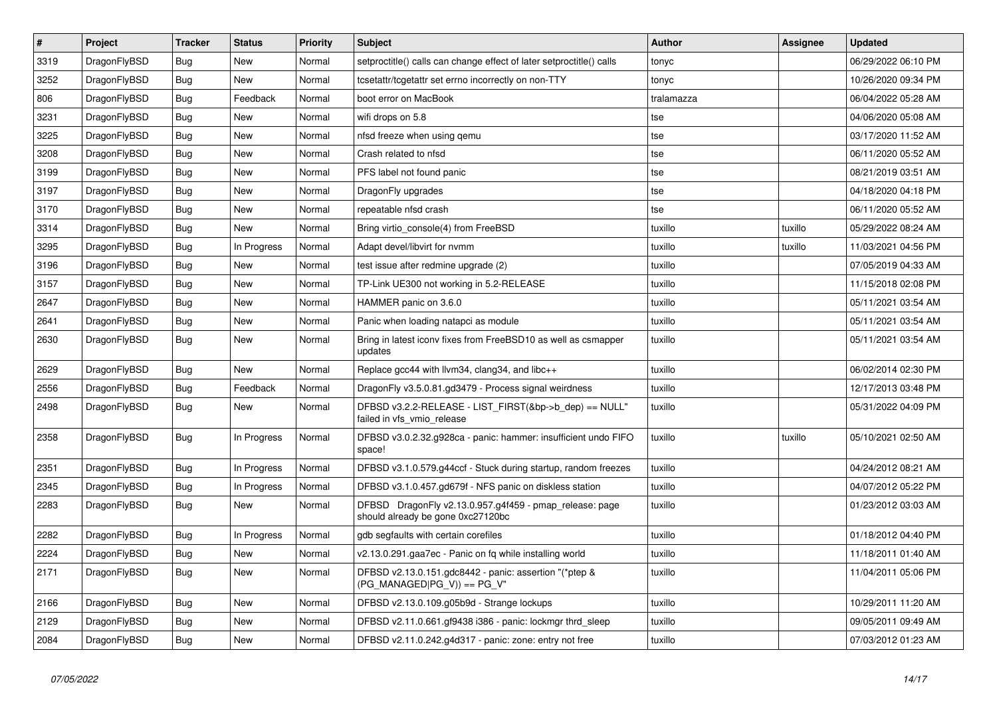| $\vert$ # | <b>Project</b> | <b>Tracker</b> | <b>Status</b> | Priority | <b>Subject</b>                                                                               | Author     | Assignee | <b>Updated</b>      |
|-----------|----------------|----------------|---------------|----------|----------------------------------------------------------------------------------------------|------------|----------|---------------------|
| 3319      | DragonFlyBSD   | Bug            | <b>New</b>    | Normal   | setproctitle() calls can change effect of later setproctitle() calls                         | tonyc      |          | 06/29/2022 06:10 PM |
| 3252      | DragonFlyBSD   | <b>Bug</b>     | New           | Normal   | tcsetattr/tcgetattr set errno incorrectly on non-TTY                                         | tonyc      |          | 10/26/2020 09:34 PM |
| 806       | DragonFlyBSD   | <b>Bug</b>     | Feedback      | Normal   | boot error on MacBook                                                                        | tralamazza |          | 06/04/2022 05:28 AM |
| 3231      | DragonFlyBSD   | Bug            | New           | Normal   | wifi drops on 5.8                                                                            | tse        |          | 04/06/2020 05:08 AM |
| 3225      | DragonFlyBSD   | <b>Bug</b>     | <b>New</b>    | Normal   | nfsd freeze when using gemu                                                                  | tse        |          | 03/17/2020 11:52 AM |
| 3208      | DragonFlyBSD   | <b>Bug</b>     | <b>New</b>    | Normal   | Crash related to nfsd                                                                        | tse        |          | 06/11/2020 05:52 AM |
| 3199      | DragonFlyBSD   | <b>Bug</b>     | New           | Normal   | PFS label not found panic                                                                    | tse        |          | 08/21/2019 03:51 AM |
| 3197      | DragonFlyBSD   | Bug            | New           | Normal   | DragonFly upgrades                                                                           | tse        |          | 04/18/2020 04:18 PM |
| 3170      | DragonFlyBSD   | <b>Bug</b>     | New           | Normal   | repeatable nfsd crash                                                                        | tse        |          | 06/11/2020 05:52 AM |
| 3314      | DragonFlyBSD   | Bug            | New           | Normal   | Bring virtio console(4) from FreeBSD                                                         | tuxillo    | tuxillo  | 05/29/2022 08:24 AM |
| 3295      | DragonFlyBSD   | <b>Bug</b>     | In Progress   | Normal   | Adapt devel/libvirt for nvmm                                                                 | tuxillo    | tuxillo  | 11/03/2021 04:56 PM |
| 3196      | DragonFlyBSD   | <b>Bug</b>     | <b>New</b>    | Normal   | test issue after redmine upgrade (2)                                                         | tuxillo    |          | 07/05/2019 04:33 AM |
| 3157      | DragonFlyBSD   | Bug            | New           | Normal   | TP-Link UE300 not working in 5.2-RELEASE                                                     | tuxillo    |          | 11/15/2018 02:08 PM |
| 2647      | DragonFlyBSD   | Bug            | New           | Normal   | HAMMER panic on 3.6.0                                                                        | tuxillo    |          | 05/11/2021 03:54 AM |
| 2641      | DragonFlyBSD   | <b>Bug</b>     | New           | Normal   | Panic when loading natapci as module                                                         | tuxillo    |          | 05/11/2021 03:54 AM |
| 2630      | DragonFlyBSD   | <b>Bug</b>     | <b>New</b>    | Normal   | Bring in latest iconv fixes from FreeBSD10 as well as csmapper<br>updates                    | tuxillo    |          | 05/11/2021 03:54 AM |
| 2629      | DragonFlyBSD   | Bug            | New           | Normal   | Replace gcc44 with llvm34, clang34, and libc++                                               | tuxillo    |          | 06/02/2014 02:30 PM |
| 2556      | DragonFlyBSD   | Bug            | Feedback      | Normal   | DragonFly v3.5.0.81.gd3479 - Process signal weirdness                                        | tuxillo    |          | 12/17/2013 03:48 PM |
| 2498      | DragonFlyBSD   | <b>Bug</b>     | <b>New</b>    | Normal   | DFBSD v3.2.2-RELEASE - LIST_FIRST(&bp->b_dep) == NULL"<br>failed in vfs vmio release         | tuxillo    |          | 05/31/2022 04:09 PM |
| 2358      | DragonFlyBSD   | Bug            | In Progress   | Normal   | DFBSD v3.0.2.32.g928ca - panic: hammer: insufficient undo FIFO<br>space!                     | tuxillo    | tuxillo  | 05/10/2021 02:50 AM |
| 2351      | DragonFlyBSD   | <b>Bug</b>     | In Progress   | Normal   | DFBSD v3.1.0.579.g44ccf - Stuck during startup, random freezes                               | tuxillo    |          | 04/24/2012 08:21 AM |
| 2345      | DragonFlyBSD   | Bug            | In Progress   | Normal   | DFBSD v3.1.0.457.gd679f - NFS panic on diskless station                                      | tuxillo    |          | 04/07/2012 05:22 PM |
| 2283      | DragonFlyBSD   | <b>Bug</b>     | <b>New</b>    | Normal   | DFBSD DragonFly v2.13.0.957.g4f459 - pmap_release: page<br>should already be gone 0xc27120bc | tuxillo    |          | 01/23/2012 03:03 AM |
| 2282      | DragonFlyBSD   | <b>Bug</b>     | In Progress   | Normal   | gdb segfaults with certain corefiles                                                         | tuxillo    |          | 01/18/2012 04:40 PM |
| 2224      | DragonFlyBSD   | Bug            | <b>New</b>    | Normal   | v2.13.0.291.gaa7ec - Panic on fq while installing world                                      | tuxillo    |          | 11/18/2011 01:40 AM |
| 2171      | DragonFlyBSD   | Bug            | New           | Normal   | DFBSD v2.13.0.151.gdc8442 - panic: assertion "(*ptep &<br>(PG_MANAGED PG_V)) == PG_V"        | tuxillo    |          | 11/04/2011 05:06 PM |
| 2166      | DragonFlyBSD   | Bug            | New           | Normal   | DFBSD v2.13.0.109.g05b9d - Strange lockups                                                   | tuxillo    |          | 10/29/2011 11:20 AM |
| 2129      | DragonFlyBSD   | Bug            | New           | Normal   | DFBSD v2.11.0.661.gf9438 i386 - panic: lockmgr thrd sleep                                    | tuxillo    |          | 09/05/2011 09:49 AM |
| 2084      | DragonFlyBSD   | Bug            | <b>New</b>    | Normal   | DFBSD v2.11.0.242.g4d317 - panic: zone: entry not free                                       | tuxillo    |          | 07/03/2012 01:23 AM |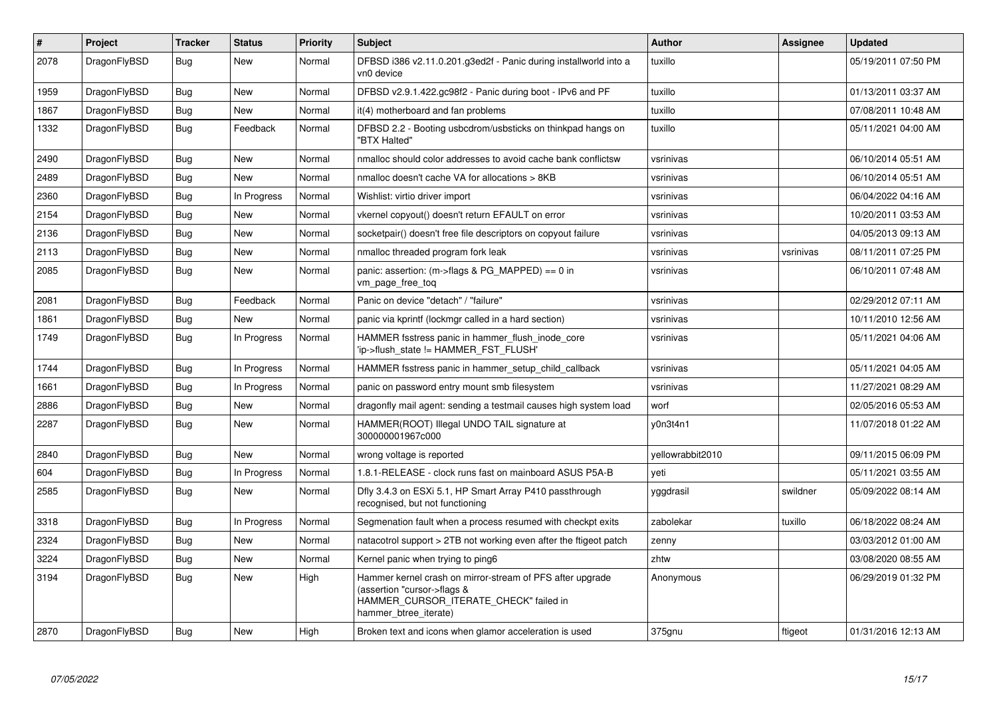| #    | Project      | Tracker    | <b>Status</b> | <b>Priority</b> | <b>Subject</b>                                                                                                                                              | <b>Author</b>    | Assignee  | Updated             |
|------|--------------|------------|---------------|-----------------|-------------------------------------------------------------------------------------------------------------------------------------------------------------|------------------|-----------|---------------------|
| 2078 | DragonFlyBSD | Bug        | New           | Normal          | DFBSD i386 v2.11.0.201.g3ed2f - Panic during installworld into a<br>vn0 device                                                                              | tuxillo          |           | 05/19/2011 07:50 PM |
| 1959 | DragonFlyBSD | Bug        | New           | Normal          | DFBSD v2.9.1.422.gc98f2 - Panic during boot - IPv6 and PF                                                                                                   | tuxillo          |           | 01/13/2011 03:37 AM |
| 1867 | DragonFlyBSD | <b>Bug</b> | New           | Normal          | it(4) motherboard and fan problems                                                                                                                          | tuxillo          |           | 07/08/2011 10:48 AM |
| 1332 | DragonFlyBSD | <b>Bug</b> | Feedback      | Normal          | DFBSD 2.2 - Booting usbcdrom/usbsticks on thinkpad hangs on<br>"BTX Halted"                                                                                 | tuxillo          |           | 05/11/2021 04:00 AM |
| 2490 | DragonFlyBSD | Bug        | <b>New</b>    | Normal          | nmalloc should color addresses to avoid cache bank conflictsw                                                                                               | vsrinivas        |           | 06/10/2014 05:51 AM |
| 2489 | DragonFlyBSD | <b>Bug</b> | <b>New</b>    | Normal          | nmalloc doesn't cache VA for allocations > 8KB                                                                                                              | vsrinivas        |           | 06/10/2014 05:51 AM |
| 2360 | DragonFlyBSD | Bug        | In Progress   | Normal          | Wishlist: virtio driver import                                                                                                                              | vsrinivas        |           | 06/04/2022 04:16 AM |
| 2154 | DragonFlyBSD | Bug        | <b>New</b>    | Normal          | vkernel copyout() doesn't return EFAULT on error                                                                                                            | vsrinivas        |           | 10/20/2011 03:53 AM |
| 2136 | DragonFlyBSD | <b>Bug</b> | <b>New</b>    | Normal          | socketpair() doesn't free file descriptors on copyout failure                                                                                               | vsrinivas        |           | 04/05/2013 09:13 AM |
| 2113 | DragonFlyBSD | <b>Bug</b> | <b>New</b>    | Normal          | nmalloc threaded program fork leak                                                                                                                          | vsrinivas        | vsrinivas | 08/11/2011 07:25 PM |
| 2085 | DragonFlyBSD | Bug        | <b>New</b>    | Normal          | panic: assertion: (m->flags & PG_MAPPED) == 0 in<br>vm_page_free_toq                                                                                        | vsrinivas        |           | 06/10/2011 07:48 AM |
| 2081 | DragonFlyBSD | Bug        | Feedback      | Normal          | Panic on device "detach" / "failure"                                                                                                                        | vsrinivas        |           | 02/29/2012 07:11 AM |
| 1861 | DragonFlyBSD | Bug        | <b>New</b>    | Normal          | panic via kprintf (lockmgr called in a hard section)                                                                                                        | vsrinivas        |           | 10/11/2010 12:56 AM |
| 1749 | DragonFlyBSD | Bug        | In Progress   | Normal          | HAMMER fsstress panic in hammer_flush_inode_core<br>'ip->flush state != HAMMER FST FLUSH'                                                                   | vsrinivas        |           | 05/11/2021 04:06 AM |
| 1744 | DragonFlyBSD | <b>Bug</b> | In Progress   | Normal          | HAMMER fsstress panic in hammer setup child callback                                                                                                        | vsrinivas        |           | 05/11/2021 04:05 AM |
| 1661 | DragonFlyBSD | Bug        | In Progress   | Normal          | panic on password entry mount smb filesystem                                                                                                                | vsrinivas        |           | 11/27/2021 08:29 AM |
| 2886 | DragonFlyBSD | Bug        | New           | Normal          | dragonfly mail agent: sending a testmail causes high system load                                                                                            | worf             |           | 02/05/2016 05:53 AM |
| 2287 | DragonFlyBSD | <b>Bug</b> | <b>New</b>    | Normal          | HAMMER(ROOT) Illegal UNDO TAIL signature at<br>300000001967c000                                                                                             | y0n3t4n1         |           | 11/07/2018 01:22 AM |
| 2840 | DragonFlyBSD | <b>Bug</b> | <b>New</b>    | Normal          | wrong voltage is reported                                                                                                                                   | yellowrabbit2010 |           | 09/11/2015 06:09 PM |
| 604  | DragonFlyBSD | <b>Bug</b> | In Progress   | Normal          | 1.8.1-RELEASE - clock runs fast on mainboard ASUS P5A-B                                                                                                     | yeti             |           | 05/11/2021 03:55 AM |
| 2585 | DragonFlyBSD | Bug        | <b>New</b>    | Normal          | Dfly 3.4.3 on ESXi 5.1, HP Smart Array P410 passthrough<br>recognised, but not functioning                                                                  | yggdrasil        | swildner  | 05/09/2022 08:14 AM |
| 3318 | DragonFlyBSD | Bug        | In Progress   | Normal          | Segmenation fault when a process resumed with checkpt exits                                                                                                 | zabolekar        | tuxillo   | 06/18/2022 08:24 AM |
| 2324 | DragonFlyBSD | Bug        | <b>New</b>    | Normal          | natacotrol support > 2TB not working even after the ftigeot patch                                                                                           | zenny            |           | 03/03/2012 01:00 AM |
| 3224 | DragonFlyBSD | <b>Bug</b> | <b>New</b>    | Normal          | Kernel panic when trying to ping6                                                                                                                           | zhtw             |           | 03/08/2020 08:55 AM |
| 3194 | DragonFlyBSD | Bug        | <b>New</b>    | High            | Hammer kernel crash on mirror-stream of PFS after upgrade<br>(assertion "cursor->flags &<br>HAMMER_CURSOR_ITERATE_CHECK" failed in<br>hammer btree iterate) | Anonymous        |           | 06/29/2019 01:32 PM |
| 2870 | DragonFlyBSD | Bug        | <b>New</b>    | High            | Broken text and icons when glamor acceleration is used                                                                                                      | 375gnu           | ftigeot   | 01/31/2016 12:13 AM |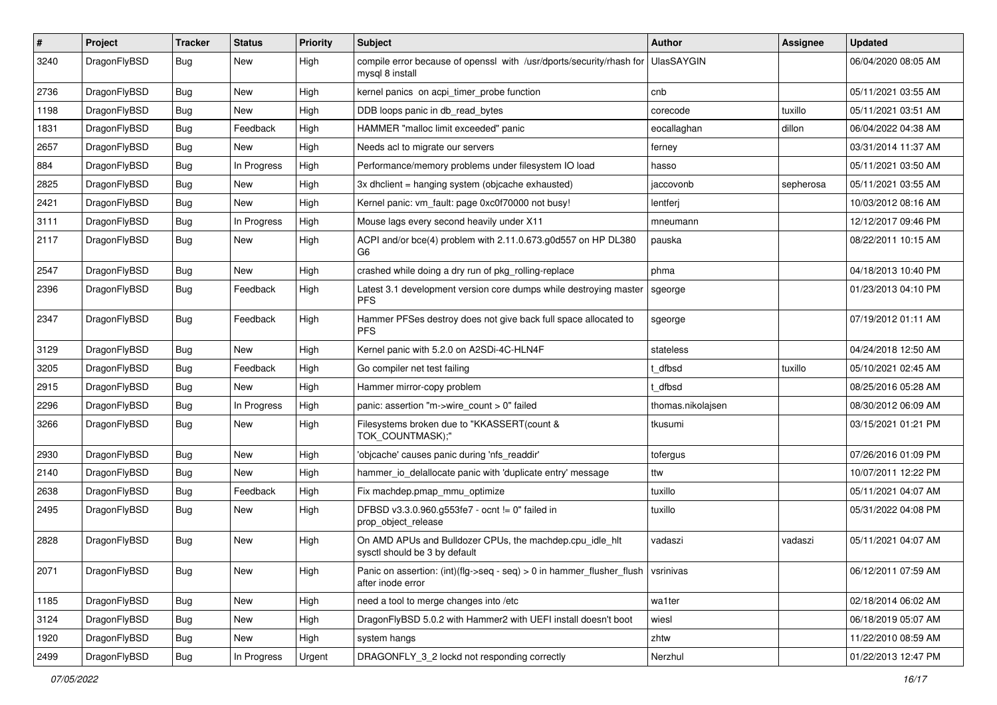| #    | Project      | <b>Tracker</b> | <b>Status</b> | <b>Priority</b> | Subject                                                                                                                                        | Author            | Assignee  | <b>Updated</b>      |
|------|--------------|----------------|---------------|-----------------|------------------------------------------------------------------------------------------------------------------------------------------------|-------------------|-----------|---------------------|
| 3240 | DragonFlyBSD | Bug            | New           | High            | compile error because of openssl with /usr/dports/security/rhash for<br>mysql 8 install                                                        | <b>UlasSAYGIN</b> |           | 06/04/2020 08:05 AM |
| 2736 | DragonFlyBSD | Bug            | <b>New</b>    | High            | kernel panics on acpi timer probe function                                                                                                     | cnb               |           | 05/11/2021 03:55 AM |
| 1198 | DragonFlyBSD | Bug            | New           | High            | DDB loops panic in db read bytes                                                                                                               | corecode          | tuxillo   | 05/11/2021 03:51 AM |
| 1831 | DragonFlyBSD | Bug            | Feedback      | High            | HAMMER "malloc limit exceeded" panic                                                                                                           | eocallaghan       | dillon    | 06/04/2022 04:38 AM |
| 2657 | DragonFlyBSD | Bug            | New           | High            | Needs acl to migrate our servers                                                                                                               | ferney            |           | 03/31/2014 11:37 AM |
| 884  | DragonFlyBSD | Bug            | In Progress   | High            | Performance/memory problems under filesystem IO load                                                                                           | hasso             |           | 05/11/2021 03:50 AM |
| 2825 | DragonFlyBSD | Bug            | New           | High            | 3x dhclient = hanging system (objcache exhausted)                                                                                              | jaccovonb         | sepherosa | 05/11/2021 03:55 AM |
| 2421 | DragonFlyBSD | Bug            | New           | High            | Kernel panic: vm_fault: page 0xc0f70000 not busy!                                                                                              | lentferj          |           | 10/03/2012 08:16 AM |
| 3111 | DragonFlyBSD | Bug            | In Progress   | High            | Mouse lags every second heavily under X11                                                                                                      | mneumann          |           | 12/12/2017 09:46 PM |
| 2117 | DragonFlyBSD | Bug            | New           | High            | ACPI and/or bce(4) problem with 2.11.0.673.g0d557 on HP DL380<br>G6                                                                            | pauska            |           | 08/22/2011 10:15 AM |
| 2547 | DragonFlyBSD | Bug            | New           | High            | crashed while doing a dry run of pkg_rolling-replace                                                                                           | phma              |           | 04/18/2013 10:40 PM |
| 2396 | DragonFlyBSD | Bug            | Feedback      | High            | Latest 3.1 development version core dumps while destroying master<br><b>PFS</b>                                                                | sgeorge           |           | 01/23/2013 04:10 PM |
| 2347 | DragonFlyBSD | Bug            | Feedback      | High            | Hammer PFSes destroy does not give back full space allocated to<br><b>PFS</b>                                                                  | sgeorge           |           | 07/19/2012 01:11 AM |
| 3129 | DragonFlyBSD | Bug            | New           | High            | Kernel panic with 5.2.0 on A2SDi-4C-HLN4F                                                                                                      | stateless         |           | 04/24/2018 12:50 AM |
| 3205 | DragonFlyBSD | Bug            | Feedback      | High            | Go compiler net test failing                                                                                                                   | t dfbsd           | tuxillo   | 05/10/2021 02:45 AM |
| 2915 | DragonFlyBSD | Bug            | New           | High            | Hammer mirror-copy problem                                                                                                                     | t dfbsd           |           | 08/25/2016 05:28 AM |
| 2296 | DragonFlyBSD | Bug            | In Progress   | High            | panic: assertion "m->wire count > 0" failed                                                                                                    | thomas.nikolajsen |           | 08/30/2012 06:09 AM |
| 3266 | DragonFlyBSD | Bug            | New           | High            | Filesystems broken due to "KKASSERT(count &<br>TOK_COUNTMASK);"                                                                                | tkusumi           |           | 03/15/2021 01:21 PM |
| 2930 | DragonFlyBSD | Bug            | New           | High            | 'objcache' causes panic during 'nfs readdir'                                                                                                   | tofergus          |           | 07/26/2016 01:09 PM |
| 2140 | DragonFlyBSD | Bug            | New           | High            | hammer_io_delallocate panic with 'duplicate entry' message                                                                                     | ttw               |           | 10/07/2011 12:22 PM |
| 2638 | DragonFlyBSD | Bug            | Feedback      | High            | Fix machdep.pmap mmu optimize                                                                                                                  | tuxillo           |           | 05/11/2021 04:07 AM |
| 2495 | DragonFlyBSD | Bug            | New           | High            | DFBSD v3.3.0.960.g553fe7 - ocnt != 0" failed in<br>prop_object_release                                                                         | tuxillo           |           | 05/31/2022 04:08 PM |
| 2828 | DragonFlyBSD | <b>Bug</b>     | New           | High            | On AMD APUs and Bulldozer CPUs, the machdep.cpu_idle_hlt<br>sysctl should be 3 by default                                                      | vadaszi           | vadaszi   | 05/11/2021 04:07 AM |
| 2071 | DragonFlyBSD | <b>Bug</b>     | New           | High            | Panic on assertion: $(int)(\text{flg}\text{-}\text{seq}\text{-}\text{seq})$ > 0 in hammer_flusher_flush $\vert$ vsrinivas<br>after inode error |                   |           | 06/12/2011 07:59 AM |
| 1185 | DragonFlyBSD | <b>Bug</b>     | New           | High            | need a tool to merge changes into /etc                                                                                                         | wa1ter            |           | 02/18/2014 06:02 AM |
| 3124 | DragonFlyBSD | Bug            | New           | High            | DragonFlyBSD 5.0.2 with Hammer2 with UEFI install doesn't boot                                                                                 | wiesl             |           | 06/18/2019 05:07 AM |
| 1920 | DragonFlyBSD | <b>Bug</b>     | New           | High            | system hangs                                                                                                                                   | zhtw              |           | 11/22/2010 08:59 AM |
| 2499 | DragonFlyBSD | <b>Bug</b>     | In Progress   | Urgent          | DRAGONFLY_3_2 lockd not responding correctly                                                                                                   | Nerzhul           |           | 01/22/2013 12:47 PM |